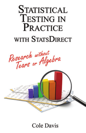# **STATISTICAL TESTING IN PRACTICE** WITH STATSDIRECT



Cole Davis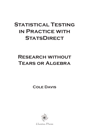## **Statistical Testing in Practice with StatsDirect**

## **Research without Tears or Algebra**

**Cole Davis**



Llumina Press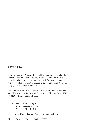© 2010 Cole Davis

All rights reserved. No part of this publication may be reproduced or transmitted in any form or by any means electronic or mechanical, including photocopy, recording, or any information storage and retrieval system, without permission in writing from both the copyright owner and the publisher.

Requests for permission to make copies of any part of this work should be mailed to Permissions Department, Llumina Press, 7915 W. McNab Rd., Tamarac, FL 33321

ISBN: 978-1-60594-450-0 (PB) 978-1-60594-451-7 (HC) 978-1-60594-452-4 (EB)

Printed in the United States of America by Llumina Press

Library of Congress Control Number: 2009913282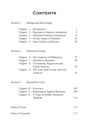### **CONTENTS**

#### Section 1: Background Knowledge

| Chapter $1$ – Introduction                    |    |
|-----------------------------------------------|----|
| Chapter 2 – Descriptive Statistics Introduced | 9  |
| Chapter 3 – Inferential Statistics Introduced | 15 |
| Chapter $4 - On$ the Nature of Numbers        | 23 |
| Chapter $5 - Data Analysis$ in Practice       | 29 |

#### Section 2: Statistical Testing

| Chapter $6$ – The Analysis of Differences   | 35 |
|---------------------------------------------|----|
| Chapter $7 -$ Qualitative Research          | 49 |
| Chapter 8 – Correlations, Regression and    |    |
| <b>Factor Analysis</b>                      | 55 |
| Chapter 9 – The Time until Events: Survival |    |
| Analysis                                    | 81 |

#### Section 3: Beyond the Tests

| Chapter $10 -$ Exercises                      | 105 |
|-----------------------------------------------|-----|
| Chapter 11 – Reporting in Applied Research    | 109 |
| Chapter $12 - A$ Taste of Further Statistical |     |
| Methods                                       | 113 |

| Index of Tests | 115 |
|----------------|-----|
|                |     |

| Index of Concepts |  |
|-------------------|--|
|-------------------|--|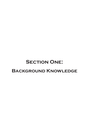## **Section One: Background Knowledge**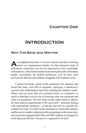### **Chapter One**

### **Introduction**

#### **Why This Book was Written**

**A**s an applied researcher, I was once asked to produce a training course on computerised statistics for that numerous body of individuals, researchers who do not understand or feel comfortable with statistics. I then found similar needs among the ranks of business people, accountants, the medical profession, civil servants, local government officials and students struggling with academic texts.

I looked for books which could ameliorate this situation and found that many were full of equations, satisfying a statistician's concern with mathematical rigour but repelling the ordinary reader. Others told you more than you needed to know as a beginner, so much so that there was no way of knowing what was important and what was peripheral. The few better books either failed to address the data analysis requirements of the real world – primarily dealing with experimental situations - or told the user how to calculate the statistics by hand. Yet other books attempted to teach both statistics and the use of complex industrial software packages at the same time: one researcher suggested that MSc and PhD students are dropped in at the deep end like this "because it's supposed to be hard".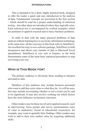#### **Introduction**

This is intended to be a short, highly practical book, designed to offer the reader a quick and easy introduction to the analysis of data. Fundamental concepts are presented in the first section – which should be read for a proper understanding of statistical testing – but other ideas are introduced where they logically arise. Each statistical test is accompanied by worked examples which are pertinent to applied research and to basic business problems.

In order to deal with the many practical problems of data analysis without learning how to use tricky information technology at the same time, all the exercises in this book refer to StatsDirect. An excellent but easy-to-use software package, StatsDirect is both inexpensive and allows easy transfer of data to Microsoft Excel spreadsheets. StatsDirect is very rich in features, so the book demonstrates some of the most basic statistical procedures to stop you losing your way.

#### **Who is This Book for?**

The primary audience is obviously those needing to interpret and analyse data.

Members of this audience may include business personnel who want to add that extra value to what they do. As will be seen, this may include ascertaining whether or not a trend can be said to be significant. It may also involve working out which factors have the most influence on business outcomes.

Other readers may be those involved in applied research, such as interviewing, focus groups and survey questionnaires (also of value to marketers). Social or educational researchers, for example, may want to quantify their findings. Other readers may wish to add to their own market value by acquiring additional skills.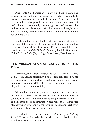Other potential beneficiaries may be those undertaking research for the first time – for example, as part of a postgraduate project – or returning to research after a break. The case of one of the researchers who spoke to me on these issues is illustrative of both. She said that not only was it a nightmare to learn statistics at the same time as learning a difficult software package, but this flurry of activity had an almost inevitable outcome: she couldn't remember a thing!

People wanting to 'break into' data analysis may do well to start here. If they subsequently want to transfer their understanding to the use of more difficult software, SPSS users could do worse than to advance to *SPSS 12 Made Simple* by Paul R. Kinnear and Colin D. Gray, 2004 (Psychology Press: Hove, East Sussex).

#### **The Presentation of Concepts in This Book**

Coherence, rather than comprehensiveness, is the key to this book. As an applied researcher, I do not feel constrained by the requirements of academic boards, so I am avoiding squiggles and citations of formulae. (Ok, I do use numbers and decimals; into all gardens, some rain must fall.)

I do not think it practical, however, to protect the reader from all statistical jargon: this will be met when using any piece of statistical software, let alone when reading the reports of others, and any other books on statistics. Where appropriate, I introduce alternative names for various concepts; this variegation is reflected in different software packages and books.

Each chapter contains a 'controversy' section, or *'Talking Point'*. These tend to raise issues where the received wisdom may be erroneous or impractical.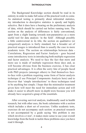#### **Introduction**

The Background Knowledge section should be read in its entirety in order to make full sense of the practical work to come. As statistical testing is primarily about inferential statistics, my introduction to descriptive statistics is speedy and highly selective. But it does have a bearing on the preliminary analysis of data, which should be carried out before running tests. The section on the analysis of differences is fairly conventional, apart from a slight leaning towards non-parametrics as a more useful tool for data analysis 'in the field'. Although possibly a little controversial in its title, the section on qualitative (or categorical) analysis is fairly standard, but a broader set of practical usages is introduced than is usually the case in more academic texts. The section on relationships between data - Correlations, Regression and Factor Analysis - goes beyond some introductory texts in introducing both multiple regression and factor analysis. We need to face the fact that more and more use is made of multiple regression these days and, as will become obvious from the business exercise, it has clear practical advantages. It is often the sorry fate of people faced with PhD projects (amongst others) to find themselves faceto-face with a problem requiring some form of factor analysis technique (I use Principal Components Analysis here) and to discover that 'simple introductions' to these techniques tend to be anything but simple. I hope that the minimalist treatment given here will meet the need for immediate action and will make it easier to absorb more in-depth texts because you will already have acquired a grasp of the essentials.

After covering survival analysis, traditionally used in health research, but with other uses, the book culminates with a section which includes a short set of exercises. Unlike academic tests, exercises do not accompany each section: as practical research is not accompanied by a guide saying 'this problem is one which involves a t-test', it makes more sense to use your overall knowledge from the book to tackle these problems once you have read it through.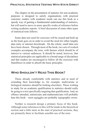The chapter on the presentation of statistics for non-academic purposes is designed to satisfy organisations with practical concerns; readers with academic needs can use this book as a speedy way of gaining a fundamental understanding of statistics, but will need to move to more specific works of reference before writing academic reports. A brief discussion of some other types of statistical tests follows.

Some data sets used for exercises will be reused and built up as the book goes on in order to avoid the need for either lengthy data entry or internet downloads. On the whole, small data sets have been chosen. Through most of the book, two sets of worked examples accompany the tests, with themes which should be of interest to various audiences. It should be noted, however, that statistical principles are applicable to a broad range of disciplines and that readers are encouraged to follow all the exercises with StatsDirect in order to absorb the basic principles.

#### **Who Shouldn't Read This Book?**

Those already comfortable with statistics and in need of extending their knowledge to, for example, multivariate or biological statistics should be looking elsewhere. Those wishing to study for an academic qualification in statistics should really be going to a text specifically targeting that qualification. And, no offence intended, statisticians and mathematicians will probably hate this book – most squiggles are probably typographic errors.

Neither is research design a primary focus of this book. Although some references to this will be made in the theoretical section and a little more at the start of practical sections, they are primarily there to facilitate sensible use of the tests.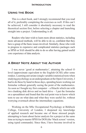#### **Introduction**

#### **Using the Book**

This is a short book, and I strongly recommend that you read all of it, preferably completing the exercises as well. If this can't be achieved, I still consider it absolutely necessary to read the theoretical section first, before selecting a chapter and launching straight into a project. Understanding is all.

Readers who later wish to learn more about statistics, including more advanced methods, will be able to do so, confident that they have a grasp of the basic issues involved. Similarly, those who wish to progress to expensive and complicated statistics packages such as SPSS or SAS should be able to do so after having gained useful core experience of data analysis.

#### **A Brief Note About the Author**

I was never 'good at mathematics', attaining the school O level (approximate equivalent to the English GCSE) after some retakes. Learning univariate (single variable) statistical tests when studying psychology as an undergraduate at the Open University, I had to do these by hand in those days, spending hours working out formulae without generally seeing the point of the mathematics. As soon as I bought my first computer – a Hitachi which ran with two clunking disk drives and no hard drive – I put the formulae on a spreadsheet and found that the real point was to know which tests to use on what data and what they were useful for, without worrying overmuch about the intermediary equations.

Working on the MSc Occupational Psychology at Birkbeck College, University of London, I deepened my knowledge of applied research and became one of those stressed people attempting to learn about factor analysis for a project at the same time as trying to master SPSS for DOS (the 'black screen' version, using typed commands). Since then, I have become involved in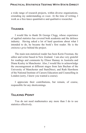a wide range of research projects, within diverse organisations, extending my understanding *en route*. At the time of writing, I work as a free-lance quantitative and qualitative researcher.

#### **Thanks**

I would like to thank Dr George Clegg, whose experience of applied statistics has covered both academia and the defence industry. Having asked a lot of hard questions about what I intended to do, he became the book's first reader. He is the *eminence grise* behind the project.

The main non-statistical reader has been Kerin Freeman, the editor and writer based in New Zealand. I am also very grateful for readings and comments by Elinor Hannay in Australia and Diana Kealey in Manchester. Also, I would like to acknowledge the encouragement at different stages from Iain Buchan of the University of Manchester and StatsDirect, and Ruth Hawthorn of the National Institute of Careers Education and Counselling in London (sorry, I know you wanted a course).

I appreciate their contributions, but remain, of course, responsible for any shortcomings.

#### **Talking Point**

You do not need mathematics any more than I do to use statistics effectively.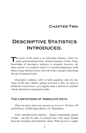### **Chapter Two**

## **Descriptive Statistics Introduced.**

The focus of this book is on inferential statistics, where we make generalisations from limited amounts of data. Some knowledge of descriptive statistics is essential, however, for three reasons: it is useful in itself, it is essential preparatory work before using statistical tests, and it provides concepts underlying the use of statistical tests.

Descriptive statistics refer to both quantities and also the *shape* of the data. Before getting involved in this, we need to define the word *statistic*: as a singular noun, a statistic is a number which represents or summarises data.

#### **The Limitations of Absolute Data**

There are times when you can just say it as it is. We have: 99 red balloons; 20,000 drug addicts; 101 Dalmatians.

Some uncontroversial statistics - figures representing groups of data – can also be used. A common one is the *range*, formed from the maximum and minimum values. When given as a single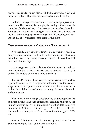#### **Descriptive Statistics Introduced**

statistic, this is Max minus Min: so if the highest value is 206 and the lowest value is 186, then the Range statistic would be 20.

Problems emerge, however, when we compare groups of data, or *data sets*. If we look at, for example, the earnings of individuals in countries of different sizes, a direct comparison may be misleading. We therefore tend to use 'averages': the description is then along the lines of the average person earning a lot in this country, and very little in that one, regardless of the comparative sizes.

#### **The Average (or Central Tendency)**

Although I am trying to avoid mathematics wherever possible, one particular statistic is a key to understanding statistics as a discipline. Relax, however: almost everyone will have heard of the concept of averages.

An *average* has another title, one which is longer but perhaps more meaningful: it is a measure of *central tendency*. Roughly, it defines the middle of the data being examined.

The word 'average', however, is rather a layman's term when applied to statistics. If a newspaper article claims that the average wage or salary is X pounds/dollars/roubles, what is meant? Let us look at three definitions of central tendency: the mean, the mode and the median.

The *mean* is an average calculated by adding together the numbers involved and then dividing the resulting number by the number of items, as in the simple example of this data set of five numbers: **2, 3, 3, 4, 8**. The sum,  $\Sigma$ ,  $= 2 + 3 + 3 + 4 + 8 = 20$ . The number of items,  $N = 5$ . The mean is, therefore,  $\sum / N$ : 20/5  $= 4.$ 

The *mode* is the number that comes up most often. In the previous example, this would be the number 3.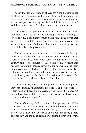When the list is spread, as above, from the biggest to the smallest, then the *median* is the value sitting in the middle of the string of numbers. We count inwards from the string of numbers in our example, discounting first the 2 and the 8, then the outer 3 and the 4, and we are left with the number 3 as the median.

To illustrate the potential use of these measures of central tendency, let us return to the newspaper article referring to 'average' pay. I don't know which statistic any given newspaper is referring to and I suspect that the reader (and possibly the writer) doesn't either. Without making a judgement, however, let us look briefly at the possibilities.

The *mean* takes the wages of all the paid workers in the city, adds them together and divides the total by the number of the workers, as if to see what one worker would have if all were equally paid. The strength of this statistic, that it takes into account the multimillionaire through to the poorest paid, can also be its weakness. Distortions created by, for example, one or two billionaires, could lead to a rather unrepresentative statistic (see the following section for further discussion of this issue). The mean is used a lot within statistical calculations.

The *mode* may deal with this problem: most wage-payers may, for example, be administrative workers and office workers. Their wage will become the average when using the mode, but how informative will this be when trying to describe the earnings of the workforce in general?

The *median* may find a central value, perhaps a middlemanager's salary. This is useful, as are the other statistics, but it may not indicate the most common wage (as the mode would) nor would it take into account to any extent the many people on poor pay and the considerable purchasing power of the very rich.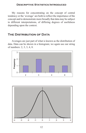#### **Descriptive Statistics Introduced**

My reasons for concentrating on the concept of central tendency or the 'average' are both to reflect the importance of the concept and to demonstrate more broadly that data may be subject to different interpretations, of differing degrees of usefulness depending upon the context.

#### **The Distribution of Data**

Averages are just part of what is known as the distribution of data. Data can be shown in a histogram; we again use our string of numbers: 2, 3, 3, 4, 8.



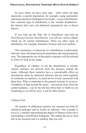In cases where we have more data – often where the data represents a natural population, for example, using automobile maximum speeds or intelligence test results – we get a distribution. One common type of distribution is the 'normal distribution', the famous bell curve (an idealised symmetrical one is shown below).

If you look up the *Help* file of StatsDirect and look up *Distributions/Normal Distributions*, you will see various shapes which are all normal distributions. There are other types of distribution, for example, binomial, Poisson and even random.

The consistency or otherwise of a distribution is particularly relevant when choosing between parametric and non-parametric tests. The appropriate use of descriptive statistics will be referred to when we look at test usage.

Regardless of whether or not the distribution is normal, various statistics are derived from the distance around the mean. Although these statistics have a considerable effect on calculations made by statistical software and are cited regularly in textbooks on statistics, we need not be overly concerned with them here. What is important is the general concept of *variance*. Variability of data around the mean – movement away from the central tendency - can be the tell-tale effect that we think we are examining or, as will be seen, it can be other factors.

#### *Talking Point*

All manner of additional statistics are churned out both by statistical packages and by books on statistics. One example is *kurtosis*, a statistic representing the degree of flatness of the curve surrounding a distribution histogram. The author has never used this in his research and it is unlikely that you will.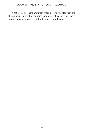#### **Descriptive Statistics Introduced**

Another point: there are times when descriptive statistics are all you need. Inferential statistics should only be used when there is something you want to find out (infer) from the data.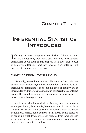### **Chapter Three**

## **Inferential Statistics Introduced**

**I** nferring can mean jumping to conclusions. I hope to show If that we can logically view some data and come to *reasonable* conclusions about them. In this chapter, I ask the reader to bear with me while learning some key concepts. Soon after this, we are ready to practise using the tests.

#### **Samples from Populations**

Generally, we tend to examine collections of data which are *samples* from a wider *population*. 'Population' can have its usual meaning, the total number of people in a town or country, but in research terms, this often means a group of interest to us, or target group. This could be employees or students, or more narrowly, bank clerks or biology students.

As it is usually impractical to observe, question or test a whole population, for example, biology students in the whole of Canada, we usually limit ourselves to *samples* from the target population. Samples could comprise bank clerks from a selection of banks in a small town, or biology students from three colleges in different regions. Given limitations in resources, samples can be even more restricted than this.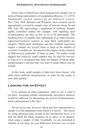#### **Inferential Statistics Introduced**

Some rules of thumb have been proposed for sample size in terms of being representative of a population (Roscoe, J.T. (1975) *Fundamental research statistics for the behavioral sciences*. New York: Holt, Rinehart and Winston): most research can be appropriately covered by sample sizes of between about 30 and 500, with 500 representing a population of millions. Simple, tightly controlled studies (for example, with matching pairs of participants) can have as few as 10 to 20 participants. The breaking down of samples into subsamples (e.g. males/females, supervisors/workers) requires at least thirty participants per category. Multivariate techniques and also multiple regression require a sample size several times as large as the number of *variables* (variables are discussed in the chapter on the Analysis of Differences), preferably 10 times as many. The author would suggest that relatively small samples may be used for surveys, as long as it is recognised that there are dangers of being rather unrepresentative and also that very real (if small) effects may be missed.

In this book, small samples of data have been chosen, with often fairly artificial characteristics, in order for the reader to enter data quickly.

#### **Looking for an Effect**

If we measure an entire population, what we see is what is out there. Assuming reliable measurement, descriptive statistics would be sufficient for illustrating any perceived phenomenon. Such a phenomenon is the *effect*.

We are never sure, however, about just how representative a sample is of the population from which it is drawn. The reason for using statistical tests, at least at this introductory level, is to find out about the likely existence of an *effect*, or its absence, when using a sample of data. Essentially, we are interested in whether or not there are real differences between two or more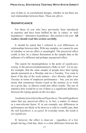sets of data or, in correlational designs, whether or not there are real relationships between them. These are *effects*.

#### **Significance**

For those of you who have previously been introduced to statistics and have been baffled by the 'p values' or 'null hypotheses'/ 'alternative hypotheses', this section is for you! **All readers should read this section carefully.**

It should be noted that I referred to *real* differences or relationships between data. With any samples, we cannot be sure of whether or not an effect is meaningful. The perceived effect could, in fact, be a chance fluctuation in the sample data or the influence of a different and perhaps unexpected effect.

The search for meaningfulness is the point of *significance testing*. Is the perceived phenomenon a fluke or not? Let us say, for example, that the same sample of people have their typing speeds measured on a Monday and on a Tuesday. You want to know if the day of the week matters - *does Monday differ from Tuesday* in terms of employee performance – but, you are also aware that extraneous factors (such as the journey in to work on a given day, or illness) could also affect results. The use of statistics here would be to see if there is a significant difference between the typing speeds on the two days.

Academic texts refer to the *null hypothesis*. The null hypothesis states that any perceived effect is, in fact, a matter of chance or a non-relevant factor. If, in our example, any differences in performance are likely to be down to a cold or a traffic jam, then *the null hypothesis is accepted*. In everyday terms, the result is *not significant*.

If, however, the effect is clear-cut – regardless of a few people having a bad day, there is a clear difference between the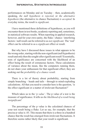#### **Inferential Statistics Introduced**

performances on Monday and on Tuesday – then, academically speaking, *the null hypothesis is rejected*, or *the alternative hypothesis* (the alternative to chance fluctuation) *is accepted*. In everyday terms, the result is *significant*.

I have mentioned these definitions of hypotheses, as you will encounter them in text books, academic reporting and, sometimes, in statistical software results. When reporting in applied research, however, and for your own sanity, the fluke / chance / interfering factors / null result can be referred to as *not significant*. The 'real' effect can be referred to as a *significant* effect or result.

But why have I discussed these issues in what appears to be the wrong order, starting with the non-significant (null hypothesis) result and only then the sought-after significant result? Essentially, tests of significance are concerned with the likelihood of an effect being the result of extraneous factors. These calculations of variance about the mean, like the computers running them, do not share your enthusiasm for that significant effect; they are seeking out the *probability of a chance result.*

There is a lot of theory about probability, starting from simple branching – heads and tails – through to mind-exploding calculations. All that you need to consider here is the question, 'is the effect significant or a matter of irrelevant fluctuation?'

Which takes us to the '*p value'*. The p value of a test is the measure of significance. It tells us *the likelihood of a result being insignificant!*

The percentage of the p value is the calculated chances of your test result being a fluke. Let us say, for example, that the precise p value is .03. This means that there is a three in a hundred chance that the result has emerged from irrelevant fluctuations. It therefore seems rather likely that your result is significant.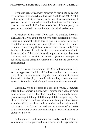Try not to get carried away, however, by starting to talk about 97% success rates or anything like that. Stick to the .03. What it really means is that, according to the statistical calculations, if you tried the test on a hundred samples, then there is a 3% chance that the data could yield a fluke result. Yes, it looks good, but your result could still be that three-in-a-hundred irrelevance.

A corollary of this is that if you used 100 samples, there is a likelihood that you could end up with three misleading results. There is a practical side to this: if you run a series of tests, a temptation when dealing with a complicated data set, the chance of some of them being fluke results increases considerably. This is why replication of results is often recommended in academic journals and - if the result is at all important to your business - it may well be sensible in practice. (See the example of reliability testing using the Pearson Test within the chapter on correlations.)

A high p value, for example, .337 (the highest number is 1), is very suggestive of a fluke. .333 informs us that there is a one in three chance of your results being due to a random or irrelevant fluctuation. Although you could replicate this, it does not seem worth it. But, what level of significance is worth considering?

Generally, we do not refer to a precise p value. Computers often and researchers almost always, refer to the p value in more general terms: p is smaller than something. Commonly quoted p values are  $p < 0.05$ ,  $p < 0.01$  and  $p < 0.001$  respectively. The chances of a fluke result are calculated as being less than five in a hundred (5%), less than one in a hundred and less than one in a thousand;  $p < .02$  and  $p < .005$  are not unheard of. All refer to the likelihood of any variance being a matter of chance or unexpected factors.

Although it is quite common to merely 'read off' the p values from the computerised results, some would argue that the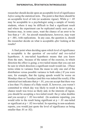#### **Inferential Statistics Introduced**

researcher should decide upon an acceptable level of significance *before* using the statistical tests. The point is that there should be an acceptable level of risk (or academic rigour). While  $p < .05$ may be acceptable to a psychologist using a sample of twenty students, where it may be difficult to find a significant result and where the experiment can be replicated easily next year, a business may, in some cases, want the chance of an error to be less than  $p < 0.01$ . An aircraft manufacturer, however, may want p < .001, with replications. In any case, the question is, should the researcher decide on what is acceptable *after* looking at the results?

A final point when deciding upon which level of significance is acceptable is the question of *one-tailed* and *two-tailed* hypotheses. A one-tailed hypothesis means that you know from the start, because of the nature of the exercise, in which direction the effect is going; a two-tailed means that you can not be sure in which direction a significant result would run. (These terms relate to variance from the mean to only one end of the distribution versus possible variance to both sides.) If you were sure, for example, that the typing speeds would be worse on Mondays than on Tuesdays (and this was indeed the result), if the statistical test indicates that  $p < .01$ , you can accept that there was a less than 1% chance of a fluke result. If, however, you weren't committed to which day was likely to result in faster typing, a chance result was twice as likely and, in the interests of rigour, you should be accepting a two-tailed result: the p value doubles and you accept  $p < .02$  two-tailed. (In academic reporting, you would refer to the result being significant at  $p < .01$  one-tailed or significant at  $p < .02$  two-tailed. In reporting in non-academic reports, you would just quote the level of significance as being smaller than .01 or .02).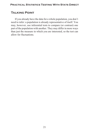#### **Talking Point**

If you already have the data for a whole population, you don't need to infer: a population is already representative of itself. You may, however, use inferential tests to compare (or contrast) one part of the population with another. They may differ in more ways than just the measure in which you are interested, so the test can allow for fluctuations.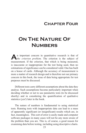### **Chapter Four**

## **On The Nature Of Numbers**

**A**n important concern in quantitative research is that of *the criterion problem*. The criterion is the subject of measurement. If the criterion, that which is being measured, is inaccurate or inappropriate for the test being used, then no estimations of significance can be considered valid. One has built on a house of cards. Although the accuracy of measurement is more a matter of research design and is therefore not our primary concern in this book, the issue of data being appropriate for test purposes must be discussed.

Different tests carry different assumptions about the data they analyse. Such assumptions become particularly important when deciding whether or not to use parametric tests (to be discussed shortly) and in considering the quantification of qualitative statistics (yes!) later in the book.

The nature of numbers is fundamental to using statistical tests. Running tests with inappropriate data can lead to a mass of apparently significant (or insignificant) results which are, in fact, meaningless. This sort of error is easily made and computer software packages in many cases will not be any more aware of the problem than you are. This is, of course, a good reason for examining data before testing, including using descriptive charts.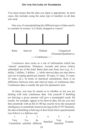#### **On the Nature of Numbers**

You must ensure that the data you input is appropriate. In most cases, this includes using the same type of numbers in all data sets used.

One way of conceptualising the different types of data used is to consider its texture. Is it finely chopped or coarse?



*Continuous data* exists as a run of information which has 'natural' proportions. Distances, seconds and prices (where unbanded) are of this kind. Ratio data runs from zero (e.g., 0, 1 dollar, 2 dollars, 3 dollars…), while interval data can start above zero (as in typing speeds per minute: 30 wpm, 31 wpm, 32 wpm, 33 wpm, etc.). In terms of statistical calculations, there is no difference between ratio and interval types of continuous data. Continuous data is usually the grist for parametric tests.

At times, you may be unsure as to whether or not you are dealing with truly continuous data. Ask yourself if doubling (or halving) a given amount will give a meaningful result. IQ results, for example, appear to be interval data, but are you sure that somebody with an IQ of 140 has exactly twice the measured intelligence as somebody tested as having an IQ of 70? Similarly, the idea of doubling or halving a Likert Scale from a questionnaire (see below) is a dubious one:

1 234 56 Very Unsatisfied satisfied different Satisfied Very  $Um-$ In-Very<br>Satisfied Ecstatic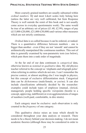More coarsely grained numbers are usually subsumed within *ordinal numbers*. IQ and most Likert scales truly belong here (unless the latter are very well calibrated, but Item Response Theory is well outside the remit of this book and is not usually come across in everyday questionnaire work). The same would be true of an arbitrary set of prices  $(\text{\textsterling}1.40, \text{\textsterling}2.99)$ , ranges of pay (£15,000-£20,000, £21,000-£30,000) and various other measures which are not strictly continuous.

*Ordinal* data is so-called because it can be ordered, or ranked. There is a quantitative difference between numbers - one is bigger than another - even if they are not 'smooth' and cannot be arithmetically manipulated like continuous numbers. This sort of data is generally examined by non-parametric tests (see below), which puts them into a rank order of magnitude.

At the far end of our data continuum is *categorical* data, otherwise known as *nominal* or *qualitative* data. My old physics teacher referred to the concept as 'elephants and telegraph poles' when referring to entities which do not mix. I can't remember the precise context, or almost anything else I was taught in physics, but this concept of exclusive differentiation stuck. Categorical data can be *dichotomous* (male/female, or yes/no). It can also include classifications arbitrarily decided by the researcher: examples could include types of employee (manual, clerical, managerial), people holding specific viewpoints (hostile to a concept, approving, indifferent) or even agglomerations of ranges of numbers (well-paid, comfortable, in dire straits).

Each category must be exclusive: each observation is only counted in the *frequency* of one category.

This qualitative choice raises an issue which should be considered throughout your data analysis or research. There needs to be a theory behind your decision-making. I do not mean academic theories (although these may be considered in order to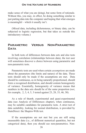#### **On the Nature of Numbers**

make sense of what you are doing), but some form of rationale. Without this, you may, in effect, be doing something similar to just putting data into the computer and hoping that what emerges is meaningful – which it usually isn't.

(Mixed data, including dichotomous, or binary data, can be subjected to logistic regression, but that takes us outside this introductory volume.)

#### **Parametric Versus Non-Parametric**  DATA

In both tests of differences between data sets and also tests involving correlation (relationships between data), the test user will sometimes discover a choice between using parametric and non-parametric tests.

Parametric tests are used when certain *assumptions* are made about the parameters (the limits and nature) of the data. These tests should only be made if the assumptions are met. Data should be continuous, as in being naturally proportioned, should form a recognised distribution, and should contain homogeneity of variance. Essentially, homogeneity of variance means that numbers in the data sets should be of the same proportion (*not*, for example, 2, 3, 4, 5, 3 tested against 23, 28, 33, 46, 30).

As a rule of thumb, experimental and quasi-experimental data (see Analysis of Differences chapter), when continuous, may be suitable candidates for parametric tests. A strict test of data suitability, looking for normal distribution, is provided by StatsDirect: the Shapiro-Wilk test.

If the assumptions are not met but you are still using measurable data (i.e., of different numerical quantities, but not categorical data), then you should use non-parametrics. Non-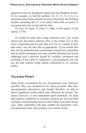parametric tests are designed to ignore the lop-sidedness of data. If, for example, we had the numbers 16, 15, 13, 32, 4, 4, 3, a parametric test would certainly be much affected by the far-flung number (assuming that 32 is an outlier rather than an error). A non-parametric test would rank the data:

32 (1st), 16 (2nd), 15 (3rd), 12 (4th), 4 (5th equal), 4 (5th equal), 3 (7th).

As would be usual when using statistical tests, you would check your descriptive statistics first. Is the outlier (32, in this case) a legitimate part of your data set? If it is a matter of poor data entry, one can alter this as appropriate. If you decide that this was an uncharacteristic performance (maybe the respondent had an unfair advantage) you may consider deleting that record (although such a decision should be carefully considered and recorded). If the outlier is legitimate, a non-parametric test can use the data without being unduly influenced by its extreme nature.

#### **Talking Point**

Many books recommend the use of parametric tests wherever possible. They are considered to be 'more powerful' than their non-parametric alternatives and should, therefore, be able to detect significant results which may otherwise be missed. The choice, however, is most dependent upon conditions. As most data analysis conditions in everyday research are not text-book examples, non-parametric tests are more likely to be used. In any case, when confronted with data suitable for parametric tests, non-parametric tests often produce very similar results.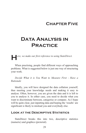### **Chapter Five**

### **Data Analysis in Practice**

## **H***ere, we make our first reference to using StatsDirect.*

When practising, people find different ways of approaching problems. What is suggested below is just one way of structuring your work.

*Decide What it is You Want to Measure First - Have a Rationale*

Ideally, you will have designed the data collation yourself, thus meeting your knowledge needs and making it easy to analyse. Often, however, you are given the data and it is left to you to analyse it. In either case, you need to decide what you want to discriminate between, categorise or compare. As I hope will be quite clear, just inputting data and hoping the 'results' are significant is likely to mislead you and everybody else.

#### **Look at the Descriptive Statistics**

StatsDirect breaks this into two, descriptive statistics (numeric) and graphics (pictorial).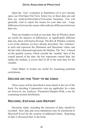#### **Data Analysis in Practice**

Open the 'Test' worksheet in StatsDirect (if it isn't already open, use File/Open File/Test). Select two or three data sets and then use Analysis/Descriptive/Univariate Summary. You will generally want to report the means for your data sets. Large differences between the means often indicate differences between data sets.

Then use Graphics to look at your data. Box & Whisker charts are useful for analysis of differences: in significantly different data sets, these will tend to diverge. The Box & Whisker contains a set of the statistics we have already described. The 'whiskers' at each end represent the Minimum and Maximum values and the bar with a diamond represents the Median. The 'box' is based on the quartile system, which extends the 'median' idea of the central spread of the data: the box represents central data, but unlike the median, it covers half of all of the total data for the variable.

Chart Maker or Scatter are useful for examining potential correlations.

### **Decide on the Test to be Used**

These issues will be described in more detail in the rest of the book. For deciding if parametric tests are applicable for a data set, however, use Analysis / Parametric/Shapiro-Wilk, a test for examining normal distribution.

#### **Record, Expand and Report**

Decisions made, including the omission of data, should be recorded. Raw data and cross-tabulations may be transferred to Microsoft Excel for the creation of additional charts. Reporting of data is discussed later in the book.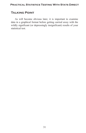# **Talking Point**

As will become obvious later, it is important to examine data in a graphical format before getting carried away with the wildly significant (or depressingly insignificant) results of your statistical test.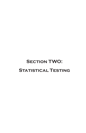# **Section TWO: Statistical Testing**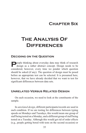# **Chapter Six**

# **The Analysis Of Differences**

## **Deciding on the Question**

**P**eople thinking about everyday data may think of research design as a rather abstract concept. Design needs to be considered, however, every time we ponder which question should be asked (if any). The question of design must be posed before an appropriate test can be selected. It is presumed here, however, that we have already decided that we want to test for significant differences between data sets.

# **Unrelated Versus Related Design**

On each occasion, we need to look at the constituents of the sample.

In *unrelated design*, different participants/records are used in each condition. If we are testing for differences between typing speeds on Mondays and Tuesdays, this would mean one group of staff being tested on a Monday, and a different group of staff being tested on a Tuesday. Although this would get rid of order effects (e.g., people getting bored with tests on the second occasion) or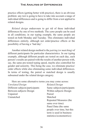practice effects (getting better with practice), there is an obvious problem: any test is going to have to take into account a range of individual differences and is going to differ from a test applied to related designs.

*Related design* endeavours to get rid of these individual differences by one of two methods. The *same* people can be used in all conditions; in our typing example, the same people are tested on both Monday and Tuesday. This eliminates individual differences entirely, although not order/practice effects or the possibility of having a 'bad day'.

Another related design method is the *pairing (or matching)* of different participants for particular characteristics. In our typing example, although different people are tested on each day, each person's results are paired with the results of another person with, say, the same pre-tested typing speed, maybe also controlled for gender and seniority. This being the case, we eliminate practice/ order effects while also eliminating some individual differences. In terms of testing, the paired or matched design is usually subsumed under the related design category.

Here are some alternative terms you may come across:

| <b>Unrelated Design</b>         | <b>Related Design</b>      |
|---------------------------------|----------------------------|
| Different subjects/participants | Same subjects/participants |
| Between-subjects Design         | Within-subjects Design     |
| Unpaired                        | Paired                     |
| Unmatched                       | Matched                    |
|                                 | Repeated Measures (the     |
|                                 | same over time)            |
|                                 | Panel Data (the same       |
|                                 | people over time, but this |
|                                 | term is used in business   |
|                                 | statistics/econometrics)   |
|                                 |                            |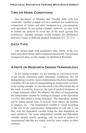#### **Two or More Conditions**

Our discussion of Monday and Tuesday dealt with two conditions. Another example of a two condition test would be the comparison of 'before and after' treatment (e.g., pre-operation, post-operation). In our typing example, however, we may wish to extend our analysis to every day of the week (giving five *conditions*). Another example would examine the differences between a range of different medical treatments (T1, T2, T3).

### **Data Type**

This section deals with quantitative data, where, at the very least, each observation can be compared numerically. For nominal (categorical) data, see the chapter on Qualitative Research.

# **A Note on Research Design Terminology**

In our typing example, we are running an *experiment* (even if not strictly controlled under laboratory conditions). We are manipulating*variables*, types of phenomena which are changeable (variable). We are actively manipulating an *independent variable*; in the typing example, we are interested in the effect of the day of the week; it could be, however, the type of medical treatment, or a single treatment effect. We observe the effect of manipulating the independent variable by looking at changes in the *dependent variable,* that which is being measured. The dependent variable can be typing speeds, time of recovery from illness, the number of relapses, etc. The independent variable is varied according to the will of the experimenter, independent of real life if you like, with the dependent variable being the data dependent on such variations. The terms independent variable and dependent variable should, strictly speaking, only be used in relation to experimental data but are widely used by some writers in other contexts.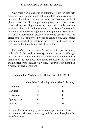Most 'real world' analyses of differences between data sets are *quasi-experimental*. We do not manipulate variables ourselves but take them from records or from observations without planned allocation of participants into groups; and, if we choose to use pairing/matching (comparing people with similar relevant attributes), this would be done through taking details from records rather than actually selecting groups of people for an experiment. In a quasi-experimental version of our typing speeds study, the effect of the day of the week would be called a *predictor* (rather than an independent variable) and the typing speed would be the *criterion* (rather than the dependent variable).

The *predictor* and the *criterion* are a similar pair of terms, which should be used in non-experimental research, although these are often interchangeable with independent and dependent variables in the literature. Both terms are used in the following example (ignore the results: we would, of course, want more than 5 records in each condition).

#### **Independent Variable / Predictor:** Day of the Week

|                   |    | <b>Condition 1: Monday Condition 2: Tuesday</b> |
|-------------------|----|-------------------------------------------------|
| <b>Dependent</b>  | 40 | 50                                              |
| Variable /        | 30 | 40                                              |
| <b>Criterion:</b> | 45 | 45                                              |
| Typing speed      | 60 | 50                                              |
| (in wpm)          | 45 | 43                                              |

Because this book is largely about non-experimental situations, the predictor/criterion terminology will be used throughout the rest of the book.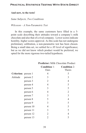#### **And now, to the tests!**

*Same Subjects, Two Conditions*

*Wilcoxon – A Non-Parametric Test*

In this example, the same customers have filled in a 5 point scale describing their attitudes toward a company's milk chocolate and also that of a rival company. Lower scores indicate hostility, higher scores approval. As this scale has not undergone preliminary calibration, a non-parametric test has been chosen. Being a small data set, we settled for a .05 level of significance; but as we did not know which product would be preferred, we opted for the more rigorous two-tailed hypothesis.

|                     |           | <b>Predictor:</b> Milk Chocolate Product |                     |
|---------------------|-----------|------------------------------------------|---------------------|
|                     |           | <b>Condition 1:</b>                      | <b>Condition 2:</b> |
|                     |           | Ours                                     | Theirs              |
| Criterion: person 1 |           | 4                                        | 5                   |
| Attitude            | person 2  | 3                                        | 3                   |
|                     | person 3  | 2                                        | 4                   |
|                     | person 4  | $\overline{4}$                           | 5                   |
|                     | person 5  | 3                                        | 5                   |
|                     | person 6  | 4                                        | $\overline{2}$      |
|                     | person 7  | 3                                        | 3                   |
|                     | person 8  | 5                                        | 4                   |
|                     | person 9  | 3                                        | 5                   |
|                     | person 10 | $\overline{4}$                           | 5                   |
|                     | person 11 | 3                                        | 5                   |
|                     | person 12 | $\overline{2}$                           | 4                   |
|                     | person 13 | $\overline{2}$                           | 5                   |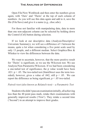Open File/New Workbook and then enter the numbers given again, with 'Ours' and 'Theirs' at the top of each column of numbers. As you will use this data again and add to it, save the file (File/Save) and give it a name (e.g., choc.sdw).

For those not familiar with manipulating data, data in more than one non-adjacent column can be selected by holding down the Control (Ctrl) button during selection.

If we look at our descriptive data (Analysis/Descriptive/ Univariate Summary), we will see a difference of 1 between the means, quite a lot when considering a five point scale used by only 13 people, and a different median. Select Graphics/Box & Whisker to view the differences between the data.

We want to ascertain, however, that the more positive result for 'Theirs' is significant, so we use the Wilcoxon test. We use Analysis/Non-Parametric/Wilcoxon. If we had been considering a one-tailed test of significance, the p value would have been .021:  $p < .05$ . The two-tailed test (StatsDirect uses the term twosided), however, gives a value of .042, still  $p < .05$ . We can report the difference as being significant,  $p < .05$  two-tailed.

#### *Paired t-test (also known as Related t-test) – a Parametric Test*

Students who didn't pass an examination initially, all achieving less than the 40 point pass mark, retake their examinations with generally improved results ('First'). They retake a second time ('Second') in an attempt to improve their grades.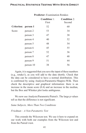|                     |           | <b>Condition 1:</b><br>First | <b>Condition 2:</b><br>Second |
|---------------------|-----------|------------------------------|-------------------------------|
| Criterion: person 1 |           | 52                           | 60                            |
| Score               | person 2  | 53                           | 34                            |
|                     | person 3  | 47                           | 38                            |
|                     | person 4  | 40                           | 52                            |
|                     | person 5  | 48                           | 54                            |
|                     | person 6  | 45                           | 55                            |
|                     | person 7  | 52                           | 36                            |
|                     | person 8  | 47                           | 48                            |
|                     | person 9  | 51                           | 44                            |
|                     | person 10 | 38                           | 56                            |

**Predictor:** Examination Retakes

Again, it is suggested that you save the input of these numbers (e.g., retake1), as you will add to the data shortly. Check that the data can be considered to have a normal distribution. This is confirmed by using Analysis/Parametric/Shapiro-Wilk. Then check the descriptive and graphical information: there is an increase in the mean score (0.4) and an increase in the median, but the Box and Whisker plot looks ambiguous.

We now use Analysis/Parametric/Paired t. The large p values tell us that the difference is not significant.

#### *Same Subjects, More Than Two Conditions*

#### *Friedman – A Non-Parametric Test*

This extends the Wilcoxon test. We use it here to expand on our work with both our examples from the Wilcoxon test and from the Paired t-test.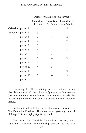|                     |           | <b>Predictor:</b> Milk Chocolate Product |                |                                                      |
|---------------------|-----------|------------------------------------------|----------------|------------------------------------------------------|
|                     |           | <b>Condition</b><br>$1:$ Ours            | 2: Theirs      | <b>Condition Condition</b> 3:<br><b>Ours Adapted</b> |
| Criterion: person 1 |           | 4                                        | 5              | 5                                                    |
| Attitude            | person 2  | 3                                        | 3              | 3                                                    |
|                     | person 3  | $\overline{2}$                           | 4              | $\overline{2}$                                       |
|                     | person 4  | 4                                        | 5              | $\overline{2}$                                       |
|                     | person 5  | 3                                        | 5              | $\overline{2}$                                       |
|                     | person 6  | 4                                        | $\overline{2}$ | $\overline{2}$                                       |
|                     | person 7  | 3                                        | 3              | 1                                                    |
|                     | person 8  | 5                                        | 4              | 3                                                    |
|                     | person 9  | 3                                        | 5              | $\overline{2}$                                       |
|                     | person 10 | 4                                        | 5              | 4                                                    |
|                     | person 11 | 3                                        | 5              | $\overline{2}$                                       |
|                     | person 12 | 2                                        | 4              | 3                                                    |
|                     | person13  | $\overline{2}$                           | 5              | 1                                                    |

Re-opening the file containing survey reactions to our chocolate products, add the column of figures in the third column (the other columns are unchanged). Our company, worried by the onslaught of the rival product, has produced a new improved variety.

Use the mouse to select all three columns and use Analysis/ Non-Parametric/Friedman. The initial screen gives a p value of .0003 ( $p < .001$ ), a highly significant result.

Now, using the 'Multiple Comparisons' option, press Calculate. As before, the relationship between the first two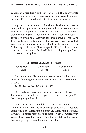conditions is significant at the level of  $p < .05$  (the approximate p value here being .02). There are also significant differences between 'Ours Adapted' and both of the other conditions.

A glance at the means in the descriptive data indicates that this new product is perceived as being worse than its predecessor as well as the rival product. We can also check to see if this trend is significant, using the Cuzick Trend test (under Non-Parametrics). If you don't want to bother with specifying group scores (SUM from the descriptive data) during this process, it is suggested that you copy the columns in the workbook in the following order (following the trend) - 'Ours Adapted', 'Ours', 'Theirs' – and then use the Cuzick test. Oh dear! The trend is highly significant: back to the drawing board.

#### **Predictor:** Examination Retakes

| <b>Condition 1:</b> | <b>Condition 2:</b> | <b>Condition 3:</b> |
|---------------------|---------------------|---------------------|
| First               | Second              | Third               |

Re-opening the file containing retake examination results, enter the following ten numbers alongside the other two columns of data.

62, 56, 40, 37, 62, 56, 68, 55, 68, 60.

Our candidates have tried again and we are back using the Friedman test. The initial screen gives a p value of .0156 ( $p < .02$ ). Something is significant there.

Now, using the 'Multiple Comparisons' option, press Calculate. As before, the relationship between the first two conditions is not significant, but there are significant differences between the scores from the third retake when compared with either of the preceding scores. This does not tell us the reason, however; perhaps some other effect is in play.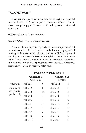## **Talking Point**

It is a commonplace truism that correlations (to be discussed later in this volume) do not prove 'cause and effect'. As the above example suggests, however, neither do quasi-experimental structures.

#### *Different Subjects, Two Conditions*

#### *Mann-Whitney – A Non-Parametric Test*

A chain of estate agents regularly receives complaints about the endowment policies it recommends for the paying-off of mortgages. It is now examining the effects of different types of warning notice upon the level of complaints made about each office. Some offices have a wall-poster describing the situations in which endowments are appropriate for mortgages, others pass their clients leaflets as part of a sales pack.

|                   |                                    |    | <b>Predictor:</b> Warning Method |                                |  |
|-------------------|------------------------------------|----|----------------------------------|--------------------------------|--|
|                   | <b>Condition 1:</b><br>Wall-Poster |    |                                  | <b>Condition 2:</b><br>Leaflet |  |
| <b>Criterion:</b> | office 1                           | 5  | office 11                        | 6                              |  |
| Number of         | office 2                           | 4  | office 12                        | 15                             |  |
| complaints        | office 3                           | 16 | office 13                        | 4                              |  |
| (per branch)      | office 4                           | 6  | office 14                        | 4                              |  |
|                   | office 5                           | 7  | office 15                        | 6                              |  |
|                   | office 6                           | 22 | office 16                        | 7                              |  |
|                   | office 7                           | 8  | office 17                        | 16                             |  |
|                   | office 8                           | 9  | office 18                        | 7                              |  |
|                   | office 9                           | 9  | office 19                        | 5                              |  |
|                   | office 10                          | 8  | office 20                        | 4                              |  |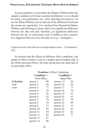In each condition, we are told by the Shapiro-Wilk test that 'the sample is unlikely to be from a normal distribution', so we should be using a non-parametric test. After checking descriptives, we use the Mann-Whitney test to find out if the differences between the means are significant. Use Analysis/Non-Parametric/Mann-Whitney and find large p values: there is no significant difference between the data sets and, therefore, no significant difference between the use of wall-posters and of leaflets in this scenario. It is suggested that you save this data set (e.g., 'mortgage').

*Unpaired t-test (Also Known as Independent t-test) – A Parametric Test*

In research into the effects of different office conditions, one group of office workers is given a lengthy proof-reading task to do within enclosed offices; the other group does the same task in an open-plan office.

|                   | <b>Predictor:</b> Office Conditions |                     |           |                     |  |
|-------------------|-------------------------------------|---------------------|-----------|---------------------|--|
|                   |                                     | <b>Condition 1:</b> |           | <b>Condition 2:</b> |  |
|                   | Own Office                          |                     | Open Plan |                     |  |
| <b>Criterion:</b> | person 1                            | 80                  | person 15 | 56                  |  |
| Task              | person 2                            | 68                  | person 16 | 69                  |  |
| score             | person 3                            | 77                  | person 17 | 73                  |  |
|                   | person 4                            | 78                  | person 18 | 70                  |  |
|                   | person 5                            | 85                  | person 19 | 61                  |  |
|                   | person 6                            | 82                  | person 20 | 65                  |  |
|                   | person 7                            | 79                  | person 21 | 59                  |  |
|                   | person 8                            | 76                  | person 22 | 60                  |  |
|                   | person 9                            | 77                  | person 23 | 53                  |  |
|                   | person 10                           | 83                  | person 24 | 61                  |  |
|                   | person 11                           | 84                  | person 25 | 62                  |  |
|                   | person 12                           | 82                  | person 26 | 71                  |  |
|                   | person 13                           | 81                  |           |                     |  |
|                   | person 14                           | 80                  |           |                     |  |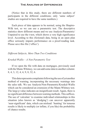(Notice that in this study, there are different numbers of participants in the different conditions; only 'same subject' studies are required to have the same numbers.)

Each piece of data appears to be normal, using the Shapiro-Wilk test, so we can use a parametric test. The descriptive statistics show different means and we use Analysis/Parametric/ Unpaired to use the t-test, which shows a very high significance level. According to this (fictional) data, being in an open plan office seriously impairs performance on a proof-reading task. Please save this file ('office').

#### *Different Subjects, More Than Two Conditions*

#### *Kruskal-Wallis – A Non Parametric Test*

If we open the file with data on mortgages, previously used with the Mann-Whitney, we can add some data to another column: 8, 4, 3, 12, 4, 4, 9, 8, 32, 6.

This data represents complaints following the use of yet another method of warning, incorporating the necessary warnings into the sales talk. We use Analysis/Non-Parametric/Kruskal-Wallis which can be considered an extension of the Mann-Whitney test. The large p value indicates an insignificant result. Again, there is no significant difference between warning methods. This suffices. The use of 'calculate' to examine individual relationships in this situation (also known as 'dredging') can uncover apparently 'near-significant' data, which can mislead: 'hunting' for tenuous results is likely to multiply (or inflate, if you like) the probability of chance results.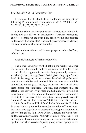*One-Way ANOVA – A Parametric Test*

If we open the file about office conditions, we can put the following 16 numbers into a third column: 70, 70, 73, 80, 81, 75, 75, 73, 81, 76, 75, 75, 73, 71, 72, 67.

Although there is a clear productivity advantage in everybody having their own offices, this is expensive. If we were to introduce cubicles to break up the open plan office, would this produce better results than open plan? The new figures represent (fictional) test scores from workers using cubicles.

To examine our three conditions – open plan, enclosed offices, cubicles, use:

Analysis/Analysis of Variance/One Way

The higher the number for the F ratio in the results, the higher the variance: the variable under examination contributes to the overall effect, as opposed to the effect being caused by unknown variables ('error'). A large F ratio, 36.86, gives a high significance level. So far, so good, but what about the relationships between one of our variables and another? We can look at a multiple comparison option (e.g., Tukey), where we see that all three relationships are significant, although one suspects that the effect is less between Own Office and Cubicles, which would be unsurprising, given the nature of the compromise. How about a trend test? If we look at the means (use Descriptive/Univariate Summary), we will find means of 79.42 for Own Office scores, 63.33 for Open Plan and 74.19 for Cubicles. It looks like Cubicles is a sensible compromise between the two other office systems, but is the trend significant? For ease of testing, put the columns in order of magnitude (e.g., Own Office, Cubicles and Open Plan) and then run Analysis/Non-Parametric/Cuzick Trend Test. As we have aligned the columns in order, we can save ourselves time and opt for 'No' when asked to 'specify group scores' (group scores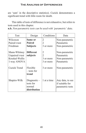are 'sum' in the descriptive statistics). Cuzick demonstrates a significant trend with little room for doubt.

This table of tests of difference is not exhaustive, but refers to tests used in this chapter.

**n.b.** *Non-parametric tests can be used with 'parametric' data*.

| Test                                                             | Design                                                | Conditions                                    | Data                                                         |
|------------------------------------------------------------------|-------------------------------------------------------|-----------------------------------------------|--------------------------------------------------------------|
| Wilcoxon<br>Paired t-test<br>Friedman                            | Same or<br><b>Paired</b><br><b>Subjects</b>           | 2<br>2<br>3 or more                           | Non-parametric<br>Parametric<br>Non-parametric               |
| Mann-Whitney<br>Unpaired t-test<br>Kruskal-Wallis<br>1-way ANOVA | <b>Different</b><br>subjects                          | 2<br>$\overline{2}$<br>3 or more<br>3 or more | Non-parametric<br>Parametric<br>Non-parametric<br>Parametric |
| <b>Cuzick Trend</b>                                              | Flexible<br>– tests for<br>trend                      | 3 or more                                     | Non-parametric                                               |
| Shapiro-Wilk                                                     | Diagnostic $-$<br>tests for<br>normal<br>distribution | 1 at a time                                   | Any data, to see<br>if suitable for<br>parametric tests      |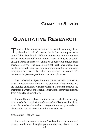# **Chapter Seven**

# **Qualitative Research**

There will be many occasions on which you may have gathered a lot of information but it does not appear to be quantifiable. People hold different impressions of a government policy; consumers fall into different 'types' of buyers or social class; different categories of situation or behaviour emerge from incident records. The data is nominal: such phenomena may not be assigned numerical values, as membership of one such *category* is not necessarily 'better' or weightier than another. We can count the *frequency* of their occurrence, however.

The statistical analyses here are concerned with comparing what is observed with what may be predicted. If our predictions are founded on chance, what may happen at random, then we are interested in whether or not actual observations differ significantly from predicted observations.

It should be noted, however, that in order to do this accurately, data must be both *exclusive and exhaustive*: all observations from a sample must be allocated to a category in the analysis and each observation can only be allocated to one category.

#### *Dichotomies – the Sign Test*

Let us select a case of a simple 'heads or tails' (dichotomous) event. People walk through a park and they can choose to fork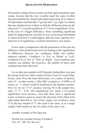#### **Qualitative Research**

left around a clump of trees or they can fork right around the same clump. Assume that the view is pretty much the same in either direction and that the clump looks rather uninviting. If we observe 30 individuals and find that 17 go left and 13 go right, it is likely that any statistical test is likely to find the difference between the observed 17:13 and the predicted 15:15 to be insignificant. (N.b., in the case of a bigger difference, where something significant *might* be happening but you had no way of knowing beforehand in which direction it would happen, then the more rigorous twotailed level of significance would be preferred to one-tailed.)

If one seeks a comparison with the parameters of the tests for difference, then dichotomous tests are looking at the significance of differences between two conditions within one (withinsubjects) variable. Condition 1 is 'Yes' or 'Heads' or 'Left'; Condition Two is 'No' or 'Tails' or 'Right'. Each condition only contains one number, the *frequency*, the number of times each condition has been observed.

Let us take our example with 30 people finding their way past the clump in the tree. Open Analysis/Exact Tests on Counts/Sign. Firstly, enter 30 as the total observation. As a matter of interest, enter  $15 -$  in other words, a 'fifty-fifty' scenario:  $p > 0.9999$  is, of course,  $p = 1$ , which would be predicted as the random scenario. Now we try our 17:13 scenario; leaving 30 in the sample box, enter 17.  $P = 0.58$ , still insignificant (we select a two-tailed significance level because, even had there been a significant result, we had no reason to expect the direction of the effect to be right rather than left or vice-versa). Again, out of interest, enter 13 in the box instead of 17; the result is the same, as in a single sample, both results are the two sides of the same coin.

Another example of the Sign test:

Would you consider buying X product? Yes: 63 / 100 No: the rest.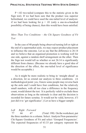$P < 0.02$  two-tailed (compare this to the statistic given in the Sign test). If we had been sure that the product was superior beforehand, we could have used the one-tailed level of analysis: if we had been looking for  $p < .01$  (only a one-in-a-hundred possibility of being chance), then this would have been satisfied.

## *More Than Two Conditions – the Chi Square Goodness of Fit Test*

In the case of 40 people being observed turning left or right at the end of a supermarket aisle, we may expect product placement to influence the outcome. Let us say that the difference is 26:14 and we believe that an organised promotion is working well for one side, against a random shelf arrangement on the other. Then the Sign test would tell us whether or not 26:14 is significantly different from chance. (Because we already have a good idea of the direction of the effect, the one-tailed level of significance would be acceptable.)

As it might be more realistic to bring in 'straight ahead' as a direction, let us extend our analysis to three conditions. (A methodological point: yes, I know some people may reverse back up the aisle and I could have four conditions, but the relatively small numbers, with all too clear a difference in the frequency count, would distort the test. It is perfectly valid to exclude these observations as long as the rationale is clear and the decision is recorded for future scrutiny. It would not be valid, however, if I just did it to 'get significance'.) Let us have a bigger sample:

#### *Left Right Forward*

 77 66 47 (Total: 190) On the worksheet, put the three numbers in a column. Select: Analysis/Non-parametric/ Chi-Square Goodness of Fit and select 'Grouped Frequencies'. The expected frequencies of 63.33 per category represent the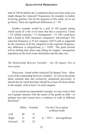#### **Qualitative Research**

total of 190 divided by the 3 conditions (there are times when you might change the 'expected' frequencies, for example, in studies involving genetics, but for the purposes of this study, let us not go there). There are significant differences:  $p < .05$ 

Another example would be a poll of 105 people asking which social ill is the *worst* (note that this is exclusive). Crime  $= 35$ ; Global warming  $= 37$ ; Immigration  $= 33$ . (We could have had a fourth or fifth: Insurance companies? Advertising?) The expected frequency is 35 per category (105/3) and as suggested by the closeness of all the categories to the expected frequency, any difference is insignificant;  $p = 0.892$  The good citizens will be bolting their doors and calling for tougher immigration legislation as the fresh water diminishes and the tides rise…

# *The Relationship Between Variables – the Chi Square Test of Association*

These tests - found within Analysis/Chi-Square Tests – allow a test of the relationship between variables. As well as the points about nominal data and exclusivity mentioned previously, it should also be noted that there should be at least 20 observations in the sample, with at least 5 in each category.

Let us extend our supermarket example: we may want to find out if gender interacts with the nature of the goods on offer - or perhaps men and women have a tendency to walk in different directions?

|         |    | Males Females | Use the 2 by $\underline{k}$ option<br>(without trend) |
|---------|----|---------------|--------------------------------------------------------|
| Left    | 40 | 37            |                                                        |
| Right   | 31 | 35            | $p = .7673$ ; non-significant                          |
| Forward | 25 | 22            |                                                        |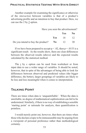Another example for examining the significance or otherwise of the *interaction* between variables is that of a product's advertising profile and an intention to buy that product. Here, we can use the 2 by 2 option.

Have you seen the advertisement?

|                                                      | Yes         | No.  |
|------------------------------------------------------|-------------|------|
|                                                      | $Yes$ 18 12 |      |
| Do you intend to buy the product? $\mathbf{No} = 12$ |             | - 30 |

If we have been prepared to accept  $p < .02$ , then  $p = .0153$  is a significant result. As the results show, there are clear differences between the observed results (above) and the expected results calculated by the statistical method.

The  $r$  by c option can be used from worksheet or from input data to use a wider range of variables. It should be noted, however, that in spite of the advantages of being able to look for differences between observed and predicted values (the bigger difference, the better), larger groupings of variables are likely to be less and less meaningful when it comes to interpretation.

# **Talking Point**

There are times when data is 'unquantifiable'. When the data is unreliable, no degree of mathematical sophistication can fail to be undermined. Similarly, if there is no way of establishing a sensible 'starting point' or rationale for analysis, then quantification is pointless.

I would merely point out, however, that there are times when those who declare a topic to be immeasurable may be arguing from a viewpoint of personal preference rather than methodological certainty.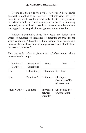#### **Qualitative Research**

Let me take their side for a while, however. A hermeneutic approach is applied to an interview. That interview may give insights into what may lie behind wads of data. It may also be important to find out if such a viewpoint is shared - returning eventually to quantification in order to demonstrate this - and as a starting point for empirical investigations in new directions.

Without a qualitative focus, how could one decide upon which of hundreds of thousands of potential experiments are worth conducting? Essentially, there should be a relationship between statistical work and an interpretative focus. Should these be divorced, however?

This test table refers to *frequencies of observations* within *categories* of a sample.

| Number of<br>Variables | Number of<br>Conditions     | Focus                               | Test                                           |
|------------------------|-----------------------------|-------------------------------------|------------------------------------------------|
| One                    | $2$ (dichotomy) Differences |                                     | Sign Test                                      |
| One)                   | More than 2                 | Difference                          | Chi Square<br>Goodness of Fit<br>(differences) |
| Multi-variable         | 2 or more                   | Interaction<br>between<br>variables | Chi Square Test<br>of Association              |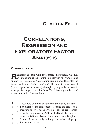# **Chapter Eight**

# **Correlations, Regression and Exploratory Factor Analysis**

# **Correlation**

**R**eturning to data with measurable differences, we may wish to examine the relationship between one variable and another, its *correlation*. A correlation is summarised by a statistic known as the *correlation coefficient*. This statistic runs from +1 (a perfect positive correlation), through 0 (completely random) to –1 (a perfect negative relationship). The following numbers and scatter plots will illustrate these.

- 1 1 These two columns of numbers are exactly the same.
- 2 2 For example: the same people scoring the same on a
- 3 3 measure on two occasions. This can be represented
- 4 4 visually using a *scatter plot* from the Excel Chart Wizard or via StatsDirect. To use StatsDirect, select Graphics/
- 5 5 Scatter. As we are only looking at one relationship, opt
- 6 6 for just one 'series'.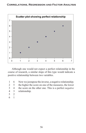#### **Correlations, Regression and Factor Analysis**



Although one would not expect a perfect relationship in the course of research, a similar slope of this type would indicate a positive relationship between two variables.

1 6 2 5 3 4 4 3 5 2 Now we juxtapose the inverse, a negative relationship; the higher the score on one of the measures, the lower the score on the other one. This is a perfect *negative* relationship.

6 1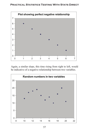

Again, a similar slope, this time rising from right to left, would be indicative of a negative relationship between two variables.

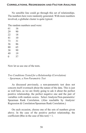#### **Correlations, Regression and Factor Analysis**

No sensible line could go through this set of relationships. The numbers here were randomly generated. With more numbers involved, a globular cluster is quite typical.

The random numbers used were:

Now let us use one of the tests.

#### *Two Conditions Tested for a Relationship (Correlation) – Spearman, a Non-Parametric Test*

As discussed previously, a non-parametric test does not concern itself overmuch about the nature of the data. This is just as well here, as we are firstly going to ask it about the perfect positive relationship, the perfect negative one and the pair of variables with random scores. Select Analysis/Non-parametric/ Spearman Rank Correlation. (Also reachable by Analysis/ Regression & Correlation/Spearman Rank Correlation.)

On each occasion, choose one of the sets of numbers given above. In the case of the positive perfect relationship, the coefficient (Rho in the case of this test) =  $1$ .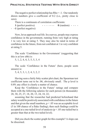The negative perfect relationship has  $Rho = -1$ . Our randomly drawn numbers give a coefficient of 0.2 (i.e., pretty close to zero).

There is a continuum of correlation coefficients:

**1** (perfect positive) - - - - - - - **0** (random) - - - - - **–1** (perfect negative)

Now, let us approach real life. In a survey, people may express confidence in the government, running from very high at rating 1 to very low at rating 5. They may also be rated in terms of confidence in the future, from not confident at 1 to very confident at rating 5.

The scale 'Confidence in the Government' (suggesting that this is at low ebb) is:

5, 1, 2, 4, 4, 3, 5, 5, 3, 4

The scale 'Confidence in the Future' (here, people seem unsure) is:

5, 4, 5, 3, 1, 2, 4, 3, 2, 2

Having seen a fairly bitty scatter plot chart, the Spearman test coefficient turns out to be .06, obviously small. The p level is 0.89; any effect is clearly a matter of chance.

Keep the 'Confidence in the Future' ratings and compare them with the following salaries for each person (in thousands): 28, 30, 25, 27, 18, 20, 15, 24, 18, 22;

assuming that the researcher had predicted beforehand that salary would be positively associated with confidence in the future and that given the small numbers,  $p < .05$  was an acceptable level (5 in 100 chance of a fluke finding), then such findings could be accepted at a one-tailed level of analysis ( $p < .05$  one-tailed but is greater than that at the two-tailed level).

Did you check the scatter graph for this example? A slope can be discerned.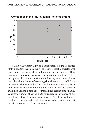

*A cautionary note:* Why do I insist upon looking at scatter plots in addition to using a test? The reason is that the correlational tests here (non-parametric and parametric) are *linear*. They assume a relationship that runs in one direction, whether positive or negative. If you run a test without looking at a scatter plot as well, there is the danger of assuming significance or lack of it from test results which are really fictitious. Below are two examples of non-linear correlations. One is a real-life error by the author. I examined a friend's blood pressure readings against time (thanks, you know who, for allowing me to reproduce this evidence of my impulsive nature). The coefficient was –0.16, with a two-tailed p level of .3 – a surprise to both of us as we had expected some sort of pattern to emerge. Then, I remembered…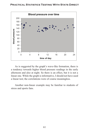

As is suggested by the graph's wave-like formation, there is a tendency towards higher blood pressure readings in the early afternoon and also at night. So there is an effect, but it is not a linear one. While the graph is informative, I should not have used a linear test; the correlations were of course meaningless.

Another non-linear example may be familiar to students of stress and sports fans.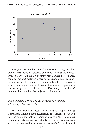

This (fictional) grading of performance against high and low graded stress levels is indicative of what is known as the Yerkes-Dodson Law. Although high stress may damage performance, some degree of stimulation is seen as necessary. Again, this nonlinear effect would emerge from a graph but could be erroneously seen as either significant or otherwise if subjected to Spearman's test or a parametric alternative. Essentially, 'curvilinear' relationships should not be subjected to these tests.

# *Two Conditions Tested for a Relationship (Correlated) – Pearson, a Parametric Test*

For this statistical test, select Analysis/Regression & Correlation/Simple Linear Regression & Correlation. As will be seen when we look at regression analysis, there is a close relationship between the two methods. For the moment, however, we are just interested in correlations; Pearson's Product Moment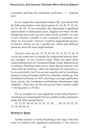Correlation provides the correlation coefficient  $- r$  - required here.

If you reopen the examination retakes file, you should find the following numbers in the third column: 62, 56, 40, 37, 62, 56, 68, 55, 68, 60. If you remember, this represented a significant improvement in examination scores. Suppose now there was the thought that this result may have been a lucky accident: we want to test *reliability* (whether or not a measure is consistent over time). As 'test-retest', however, would be inappropriate because of practice effects, we use a parallel test, which asks different questions about the same taught material.

The new scores are: 65, 55, 39, 43, 66, 54, 73, 58, 72, 64. If we use the scatter plot to examine the relationship between these two variables, we see a positive slope. When you again select Analysis/Regression & Correlation/Simple Linear Regression & Correlation, StatsDirect asks you to 'select data for outcome' and 'select data for predictor': these are important for regression, to be covered shortly, but if we are just using this test for correlation purposes, it does not matter which way round the variables go. The correlation coefficient *r* is .9871, showing a very high significance level; clearly, the examination methodology demonstrates high reliability. (Note also, for the next section, that a statistic called *r2* ['R Squared'] is .97436.)

For an example of a non-significant result using Pearson's correlation, try comparing the first two variables in the examination retake file (data repeated here):

52, 53, 47, 40, 48, 45, 52, 47, 51, 38 \_\_ 60, 34, 38, 52, 54, 55, 36, 48, 44, 56

#### **Effect Size**

Another statistic is worth considering at this stage. Note that when we looked at the significant relationship,  $r^2$  was cited as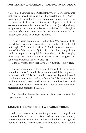#### **Correlations, Regression and Factor Analysis**

= .97436. If you use Tools/Calculator, you will, of course, note that this is indeed the square of the correlation, .9871\*.9871 Some people mistake the correlation coefficient (here *r*) as a measurement of the size of the relationship; it is, in fact, an assessment as to whether or not an effect is 'real' (i.e., significant) as opposed to an irrelevant mixture of variables. It is the *effect*  $size$  (here  $r^2$ ) which shows how far the effect accounts for the *variance*, the swing away from the mean.

In the current example, .974 rather than .987 seems of little import, but what about a case where the coefficient  $r$  is (a still quite high) .63? Here, the effect  $r^2$  .3969 contributes no more than 40% of the variance. Quite often, therefore, a significant result can represent a negligible effect size; .33, for example, gives only 11% of the variance. Cohen (1988) suggests the following categories for effect size (*d*):

 $0.2$  to  $0.5$  = small effect size;  $0.5$  to  $0.8$  = medium;  $> 0.8$  = large.

Various ideas emerge from this. If the rest of the variance is random 'noise', could the research model be improved, made more reliable? Is there another factor at play which could contribute to our understanding of the effect? Is the significant result meaningful in real-world terms, and should we invest in it? These questions become less academic when we look at multiple regression and correlation (MRC).

As a building block, however, we first need to consider regression as a concept.

## **Linear Regression (Two Conditions)**

When we looked at the scatter plot charts for significant relationships between two sets of data, a slope could be ascertained, representing the relationship. A line can be drawn through the incline (assuming it makes sense when considering the real world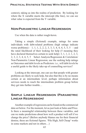context), taking us into the realms of prediction. By looking for where the X variable meets the intercept (the line), we can see what value is expected from the Y variable.

#### **Non-Parametric Linear Regression**

Use when the data is rather rough-hewn.

Taking a simple (fictional) example, ratings for some individuals with debt-related problems (high ratings indicate worse problems) - 1, 1, 1, 2, 2, 2, 3, 3, 3, 4, 4, 4, 5, 5, 5 - and the rated likelihood of their looking for help (5 meaning they have declared themselves certain to seek help): 3, 1, 1, 2, 1, 2, 3, 2, 3, 2, 3, 4, 4, 5, 5 Select Analysis/Regression & Correlation/ Non-Parametric Linear Regression; use the seeking help ratings as Outcomes and debt levels as Predictors: i.e., will debt levels be a useful guide to the likely take-up of counselling services?

Looking at the intercept, one can see that people with greater problems are likely to seek help, but also that this is by no means certain at an intermediate level; perhaps information about services needs to reach the intermediate problem group before they get into further trouble…

# **Simple Linear Regression (Parametric Linear Regression)**

Another example of regression can be found on the commercial data set below. For the moment, let us just look at Sales and Price. Is there a meaningful relationship between these variables, and can we make predictions about how well a product will sell if we change the price? (Before anybody blames me for their financial demise, these are fictional figures. 'Pile High, Sell Cheap' works in some markets and not in others…)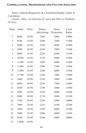Select Analysis/Regression & Correlation/Simple Linear & Correlation

Choose 'Sales' as Outcome (Y axis) and Price as Predictor (X axis)

| Shop           | Sales | Price | Instore<br>Advertising | <b>Street</b><br>Promotion | Local<br>Radio |
|----------------|-------|-------|------------------------|----------------------------|----------------|
| $\mathbf{1}$   | 8600  | 24.99 | 2180                   | 6400                       | 12000          |
| $\overline{2}$ | 9100  | 18.99 | 2200                   | 7800                       | 11500          |
| $\overline{3}$ | 9400  | 24.99 | 2220                   | 6800                       | 12400          |
| $\overline{4}$ | 9500  | 24.99 | 2160                   | 7000                       | 13500          |
| 5              | 9800  | 18.99 | 2220                   | 6500                       | 13200          |
| 6              | 10700 | 18.99 | 2170                   | 5000                       | 13500          |
| 7              | 11200 | 18.99 | 2280                   | 6800                       | 13200          |
| 8              | 11400 | 18.99 | 2500                   | 7200                       | 13500          |
| 9              | 11400 | 18.99 | 2200                   | 6000                       | 13500          |
| 10             | 11700 | 18.99 | 2250                   | 7400                       | 12900          |
| 11             | 3800  | 30.99 | 2190                   | 5000                       | 11000          |
| 12             | 4900  | 30.99 | 2250                   | 7500                       | 12000          |
| 13             | 6100  | 24.99 | 1180                   | 5400                       | 11900          |
| 14             | 6500  | 30.99 | 2250                   | 6000                       | 12500          |
| 15             | 6900  | 30.99 | 2170                   | 8200                       | 12100          |
| 16             | 7300  | 30.99 | 2180                   | 6500                       | 14000          |
| 17             | 7400  | 20.99 | 2255                   | 6100                       | 12200          |
| 18             | 7600  | 30.99 | 2250                   | 6800                       | 12300          |
| 19             | 7800  | 18.99 | 2200                   | 6000                       | 13300          |
| 20             | 8100  | 20.99 | 2240                   | 6900                       | 10000          |
| 21             | 11800 | 30.99 |                        |                            |                |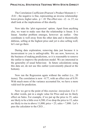The Correlation Coefficient (Pearson's Product Moment r) = -0.61 ; the negative is fine, representing an inverse relationship: lower prices, higher sales.  $p < 0.01$  The effect size - r2 - is .37; we shall look at the implications of this shortly.

Now take the 'plot regression' option. Apart from anything else, we want to make sure that the relationship is linear. It is linear. Another problem emerges, however: an outlier. One coordinate is well away from the other data and is theoretically dubious, selling at the highest price and yet is also selling well; let's not go there.

During data exploration, removing data just because it is inconvenient to you is unforgivable. We are now, however, in the business of making predictions, so it is reasonable to remove the outlier to improve the prediction model. We are interested in the generality of usual behaviour. In future calculations using this data set, do not use this outlier (conveniently placed at the bottom).

Now run the Regression again without the outlier (i.e., 20 items). The correlation is now –0.77, with an effect size of 0.59. With much more of the variance accounted for, we have a more valid tool for prediction.

Now we get to the point of this exercise: *interpolate X to Y*. In other words, put in a single value for Price and see its likely effect on Sales. For example, if we put up the price to 35, sales are likely to be a little over 4,500; if we drop the price to 15, sales are likely to rise to above 11,000; price  $= 25$ , sales  $= 7,800$ . Let's pass the calculator to the CEO…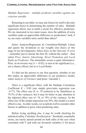*Multiple Regression – multiple predictor variables against one criterion variable*

Returning to our table, we may ask if price by itself is the only significant factor in determining the number of sales. Multiple regression allows one to build a *model* for effective prediction. We are interested in two main issues: does the addition of extra variables make an appreciable difference to predictions? And, if so, are some variables more useful than others?

Select Analysis/Regression & Correlation/Multiple Linear and ignore the invitations to use weights (too heavy at this stage of our development). Select *Sales* as the *Outcome (Y axis)* – remember just to choose the first 20, without the outlier – then select *Price, Instore Advertising, Street Promotion and Local Radio* as *Predictors*. The immediate screen is quite informative: Price, in an inverse way  $(r = -0.82)$ , is seen to be significant (i.e., not a chance effect), but so is Local Radio.

To find out the answer to our first question, whether or not this makes an appreciable difference to our predictive model, select *Analysis of Variance* (and press 'calculate').

There is a significant effect, with the Multiple Correlation Coefficient  $R = 0.89$  (our simple price/sales regression was  $-0.77$ ). The effect size  $R^2$  is .79 (referred to by StatsDirect as 79.5% of the variance), but it may be better to pay attention to the adjusted effect size of .74, or 74% of the variance. As the effect size of the simple regression was 59%, this model is a more effective one. In other words, we would do well to consider other factors in addition to price when predicting sales.

Before trying anything else, it may be worth checking for statistical safety. Calculate '*Residual plots*'. Residuals, essentially errors, are nicely spread around on both sides of the axis when correlated with Y and with our favoured variables (1 for prices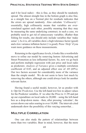and 4 for local radio) – this is fine, as they should be randomly spread. The almost straight line in the bottom graph is also fine, as a straight line on a Normal plot for residuals indicates that the errors are spread randomly. Also calculate '*Collinearity*': essentially, high collinearity means that variables are overcorrelated against each other, possibly meaning that they may be measuring the same underlying construct; in such a case, we probably need to get rid of unnecessary variables. (Rather than fishing for results, one should only include variables that 'make sense'.) As it is, all variables show a high tolerance factor (good) and a low variance inflation factor (1 is good). Press '*Help*' if you want more guidance on these measurements.

Returning to the significance levels, it looks like a worthwhile move to refine our model by removing Instore Advertising and Street Promotion as less influential factors. So, now we go back and perform multiple regression with just price and local radio as predictors: *Analysis of Variance* gives a multiple correlation coefficient of 0.85, and an adjusted effect size of .69 (69%). Our two factors account for considerably more of the variance than the simple model. We do not seem to have lost much by removing the others, although one could always look for another relevant factor.

Having found a useful model, however, let us predict with it. Opt for *Prediction*. Use the left-hand text box to adjust values for the Predictor variables. If we alter the Price to 11.99 and put up our expenditure on local radio to 20,000 – using the left-hand box as a drop-down menu - then, after pressing 'calculate', the screen shows our sales soaring to over 18,000. The intervals cited underneath show the possibility of this varying somewhat…

#### **Multiple Correlation**

One can also study the pattern of relationships between more than two variables. Bear in mind, however, that the more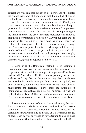correlations you run that appear to be significant, the greater the chance that some of them are, in fact, the product of chance results. If each test has, say, a one in a hundred chance of being a fluke, then this rises as more tests are conducted. One highly conservative method to counter this is the Bonferroni technique: you multiply a correlation's p value by the number of comparisons to get an adjusted p value. If we take our sales example using all the variables there, the use of multiple regression will show us that the radio promotion p value is  $p = 0.0076$ ; our comparisons numbering 10, we get 0.076. This is rather harsh and – this is the real world entering our calculations – almost certainly wrong; the Bonferroni is particularly fierce when applied to a large number of tests. If, however, we just look at sales, price and radio promotion, as recommended in our multiple regression example, we get a less impressive p value of 0.01, but we are only using 3 comparisons, giving an adjusted p value of 0.03.

Leaving aside the Bonferroni method, let us examine a *correlation matrix* involving our sales example: select Analysis/ Regression & Correlation/Principal Components/Correlation and use all 5 variables. If offered the opportunity to 'reverse scale option', say 'No' at the moment: negative correlations are meaningful in this example (high sales, low price); on other occasions, you may opt for reverse scaling where obverse relationships are irrelevant. Now ignore the initial screen (components, Eigenvalues, etc.): this will be discussed when we look at factor analysis. Opt for *Correlation Matrix* and 'Calculate'. (You may wish to copy the matrix to a workbook for clarity.)

Two common features of correlation matrices may be seen. Firstly, where a variable is matched against itself, a perfect correlation (1) is observed. Secondly, the two halves of the correlation matrix either side of the line of 1's are mirror images of each other, so you only need to pay attention to one of these triangles of data (the lower half is probably easier to look at).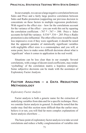In our example, we can see a large negative correlation between Sales and Price and a fairly large positive correlation between Sales and Radio promotion (supporting our previous decision to concentrate on these factors in multiple regression prediction). With regard to the effect size – how far the correlations account for the variance of the effect – you can work this out by squaring the correlation coefficient.  $-.767 * -.767 = .588$ : Price x Sales accounts for half the variance.  $0.534 * .534 = .285$ : Price x Radio promotion is also influential. The other effect sizes would be much less impressive even if they were significant; it should be noted that the apparent paradox of statistically significant variables with negligible effect sizes is a commonplace and you will, at some point, have to make some difficult decisions about what is 'significant' when it comes to application in the real world.

Situations can be less clear than in our example. Several correlations, with a range of decent sized coefficients, may render 'eyeballing' of the correlation matrix a hopeless enterprise. Some subjective decisions can be made with the assistance of Exploratory Factor Analysis.

#### **Factor Analysis – a Data Reduction Methodology**

#### *Exploratory Factor Analysis*

Factor analysis is both a generic name for the extraction of underlying variables from data and for a specific technique. Here, we consider factor analysis in general. It should be noted that the reader may find this section more difficult than the earlier ones; believe it or not, you will find far more complex explanations of factor analysis elsewhere …

The basic point of exploratory factor analysis is to take several correlations and reduce a bulky conglomeration of variables into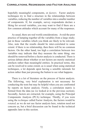hopefully meaningful components, or *factors*. Factor analytic techniques try to find a structure in the relationships between variables, reducing the number of variables into a smaller number of components. If, for example, survey respondents declare a liking for several variables, you may want to find if there are a few common attitudes which account for many of the responses.

As usual, there are real world considerations. Avoid the poor practice of lumping together all the variables from a large study; put in those variables which you think are likely to be relevant. Also, note that the results should be inter-correlated to some extent: if there is no relationship, then there will be no common factors. On the other hand, too high a correlation between two variables may indicate that they measure the same thing; one should be removed before a factor analysis is conducted. There is serious debate about whether or not factors are merely statistical artefacts rather than meaningful entities. In practical terms, this can be resolved to some extent; as is usual when using statistical techniques, a lot depends upon having a sensible rationale for action rather than just pressing the button to see what happens.

There is a lot of literature on the process of factor analysis. The following, very brief explanation is not necessary for conducting the tests but may be helpful when you are confronted by reports on factor analysis. Firstly, a correlation matrix is formed from the data (as we looked at in the previous section). Secondly, factors are extracted, for example, using the Principal Components Analysis (PCA) technique. Thirdly, if you were using the *technique* called Factor Analysis, the factors would be *rotated*; as we do not use factor analysis here, rotation need not concern us, but a brief discussion can be found in the technical appendix later in this section.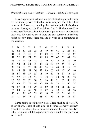#### *Principal Components Analysis – A Factor Analytical Technique*

PCA is a precursor to factor analysis the technique, but is now the most widely used method of factor analysis. The data below consists of 15 rows, representing observations (individuals, shops or other objects) and the 12 variables, A to L. The latter could be measures of business data, individuals' performance on different tests, etc. We want to see if there are any common underlying variables, how many there are, and how far each contributes to the variance.

| B  | C  | D  | E  | F  | G  | H  | I  | J  | K  | L  |
|----|----|----|----|----|----|----|----|----|----|----|
| 92 | 61 | 28 | 25 | 16 | 79 | 54 | 60 | 43 | 28 | 61 |
| 44 | 67 | 51 | 81 | 45 | 62 | 61 | 32 | 57 | 54 | 67 |
| 72 | 71 | 74 | 79 | 30 | 85 | 57 | 40 | 51 | 41 | 39 |
| 84 | 58 | 43 | 42 | 15 | 70 | 70 | 76 | 69 | 14 | 20 |
| 92 | 48 | 54 | 36 | 26 | 72 | 69 | 67 | 59 | 14 | 26 |
| 53 | 51 | 75 | 48 | 42 | 94 | 84 | 69 | 58 | 19 | 39 |
| 45 | 89 | 54 | 56 | 42 | 89 | 60 | 49 | 47 | 35 | 40 |
| 98 | 58 | 27 | 35 | 11 | 70 | 62 | 72 | 57 | 15 | 33 |
| 97 | 69 | 53 | 41 | 12 | 72 | 67 | 54 | 46 | 26 | 42 |
| 92 | 63 | 76 | 60 | 28 | 56 | 43 | 21 | 39 | 80 | 83 |
| 95 | 55 | 79 | 39 | 35 | 60 | 53 | 32 | 53 | 60 | 74 |
| 87 | 65 | 73 | 70 | 13 | 80 | 65 | 64 | 65 | 20 | 33 |
| 80 | 52 | 67 | 60 | 16 | 67 | 52 | 53 | 54 | 51 | 56 |
| 61 | 76 | 45 | 79 | 36 | 56 | 63 | 56 | 55 | 38 | 51 |
| 81 | 56 | 73 | 61 | 48 | 47 | 39 | 14 | 34 | 75 | 87 |
|    |    |    |    |    |    |    |    |    |    |    |

Three points about the raw data. There must be at least 100 observations. There should also be 5 times as many subjects (rows) as variables; these rules are ignored here for brevity's sake. Also, it is helpful to place together variables that you think are related.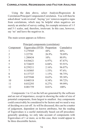Using the data above, select Analysis/Regression & Correlation/Principal Components/Correlation. You will then be asked about 'scale reversal'. Saying 'yes' removes negative signs from correlations, which may be helpful when negatives are merely an artefact of survey coding, for example mixtures of 1-5 and 5-1 scales, and, therefore, irrelevant. In this case, however, say 'no' and leave the negatives in.

| Principal components (correlation) |                  |            |            |  |  |  |  |  |
|------------------------------------|------------------|------------|------------|--|--|--|--|--|
| Component                          | Eigenvalue (SVD) | Proportion | Cumulative |  |  |  |  |  |
|                                    | 5.279569         | 44%        | 44%        |  |  |  |  |  |
| 2                                  | 3.22758          | 26.9%      | 70.89%     |  |  |  |  |  |
| 3                                  | 1.200434         | 10%        | 80.9%      |  |  |  |  |  |
| 4                                  | 0.836621         | $6.97\%$   | 87.87%     |  |  |  |  |  |
| 5                                  | 0.724655         | 6.04%      | 93.91%     |  |  |  |  |  |
| 6                                  | 0.259211         | 2.16%      | 96.07%     |  |  |  |  |  |
| 7                                  | 0.183885         | 1.53%      | 97.6%      |  |  |  |  |  |
| 8                                  | 0.137727         | 1.15%      | 98.75%     |  |  |  |  |  |
| 9                                  | 0.075948         | $0.63\%$   | 99.38%     |  |  |  |  |  |
| 10                                 | 0.040318         | $0.34\%$   | 99.72%     |  |  |  |  |  |
| 11                                 | 0.032293         | $0.27\%$   | 99.99%     |  |  |  |  |  |
| 12                                 | 0.001759         | $0.01\%$   | 100%       |  |  |  |  |  |
|                                    |                  |            |            |  |  |  |  |  |

The main screen appears as follows:

Components 1 to 12 on the left are generated by the software and are not of importance, except in showing the order of size of potential components, from largest to smallest. Any components could conceivably be considered to be factors and we need a way of deciding on a cut-off. As will be discussed, this can be a matter of judgement, dependent on known attributes, but the reading of Eigenvalues is a useful statistically based cut-off procedure: generally speaking, we only take account of components with Eigenvalues of 1 or more, so in this case, there would appear to be three discernible factors.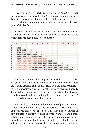'Proportion' shows each component's contribution to the variance; as will be noted by the 'Cumulative' column, the three largest factors account for almost 81% of the variance.

In addition to the main screen, opt for 'Correlation Matrix' (and 'Calculate').

Where there are several variables in a correlation matrix, the StatsDirect matrix may be cramped: if you copy this to the workbook, the matrix can be seen clearly.

| 0.757294 |                                 |                     |                                                                  |                 |                  |                                                            |  |  |
|----------|---------------------------------|---------------------|------------------------------------------------------------------|-----------------|------------------|------------------------------------------------------------|--|--|
|          | 4,6107 4,4555                   |                     |                                                                  |                 |                  |                                                            |  |  |
| 4,3305   |                                 | <b>AULTS: ALSAN</b> |                                                                  |                 |                  |                                                            |  |  |
|          |                                 |                     | <b>AGINA ASKIN LAWAY LAUNE</b>                                   |                 |                  |                                                            |  |  |
|          | 1,0071 1,71%                    |                     | 0 1997 0.09946 0.09997                                           |                 |                  |                                                            |  |  |
|          |                                 |                     | AND ATHE SWELL SOME STAR                                         |                 |                  |                                                            |  |  |
|          | <b><i>President Company</i></b> |                     |                                                                  | <b>QUAN QWE</b> | <b>JIEE ISKU</b> |                                                            |  |  |
|          |                                 |                     | <b>TANTA BISSE AND ASSIZ ANNO ASIZI ASSIZ AND A</b>              |                 |                  |                                                            |  |  |
|          |                                 |                     | <b>CONES 0 1030 0 1616 0 00391 #3251 #332617 #321459 #721477</b> |                 |                  |                                                            |  |  |
|          |                                 |                     |                                                                  |                 |                  | 8.522996 0.481265 0.587242 -8.65347 0.0277 0.95451 0.67777 |  |  |
|          |                                 | 机密封力                |                                                                  |                 |                  | 0.256243 0.19799 0.472773 0.55827 0.70599 0.87321 0.7411   |  |  |

The upper half of the computer-generated matrix has been removed from the chart above, as a whole matrix mirrors about the leading diagonal and can play tricks with the eyes, providing a mirage of imaginary clusters. The cells have also been conditionally formatted; any figure above .3 or below -.3 is in a darker font. Positive correlations of less than .3 and negative correlations larger than -.3 tend not to be meaningful in this context.

Previously, I recommended the practice of placing variables which are particularly likely to be related to each other into adjacent columns of the raw data. This allows easy viewing of any correlation clusters. Guessing which variables are closely related before subjecting the data is always a good idea. As has been discussed, you should have some rationale behind your data selections, but, in the case of the correlation matrix, failure to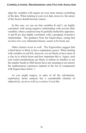align the variables will require an even more intense eyeballing of the data. When looking at your own data, however, the nature of the factors should become clearer.

In this case, we can see that variables K and L are highly correlated, with strong negative relationships with several other variables; often a construct may be partially defined by opposites. A and B are also highly correlated, with a grouping of positive relationships. The guidance from the Eigenvalues, seeing that we have two very influential factors, seems to be borne out.

Other clusters occur as well. The Eigenvalues suggest that a third factor is likely to have explanatory power. When dealing with variables in real life, however, we are likely to have more of a clue as to which factor and how important this is. Again, such real world considerations are likely to inform us whether or not the smaller fourth or fifth factors have any meaning or are merely the mathematical constructs implied in the list of components with Eigenvalues below 1.

As you might suspect, in spite of all the calculations, exploratory factor analysis has a considerable element of subjectivity, an art as well as a science if you like.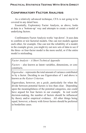#### **Confirmatory Factor Analysis**

As a relatively advanced technique, CFA is not going to be covered in any detail here.

Essentially, Exploratory Factor Analysis, as above, looks at data in a 'bottom-up' way and attempts to create a model of underlying factors.

Confirmatory Factor Analysis works 'top-down'. It uses data to confirm or test factorial models. One can test models against each other, for example. One can test the reliability of a model; in the example given, you might try out new sets of data to see if the three- or four-factor model is the more useful, or if the entire model is misleading.

*Factor Analysis – A Short Technical Appendix*

*Factors* – also known as latent variables, dimensions, or core constructs.

*Eigenvalue* – represents the total amount of variance contributed to by a factor. Deciding to use Eigenvalues of 1 and above is known as *the Kaiser Criterion*.

Eigenvalues, however, are a *guide*, particularly for when the divide between potential factors is less than clear. Depending upon the meaningfulness of the potential categories, one could have argued for four factors in our example. In real world decision-making, the number of factors should be influenced by theory and/or empirical evidence. All other things being equal, however, a theory with fewer factors should be preferred in borderline cases.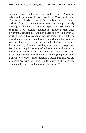*Rotation* – used in the technique called 'Factor Analysis'. Whereas the positions of clusters on X and Y axes make a lot of sense in univariate (one-variable) statistics, the immediate position of variables in multivariate statistics is not particularly meaningful. The point is that the initial position of a set of factors on graphical 'X Y' axes may not lead to sensible clusters: a three dimensional concept, as it were, is placed on a two-dimensional chart, rendering the direction of the axes largely irrelevant. The constellations of stars could be a useful metaphor: these appear to be real formations but are, in fact, individual stars at diverse distances merely clustered according to the viewer's perspective. Rotation is a legitimate way of adjusting the position of the clusters to achieve what textbooks refer to as '*simple structure'*, a tight and meaningful separation of factors. (Simple structure is an elusive concept; before running a factor analysis, you are also presented with the rather complex question of which type of rotation to choose, orthogonal or oblique, etc!)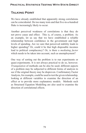#### **Talking Point**

We have already established that apparently strong correlations can be coincidental. Do too many tests and that five-in-a-hundred fluke is increasingly likely to occur.

Another perceived weakness of correlations is that they do not prove cause and effect. This is, of course, a problem. As an example, let us say that we have established a reliable relationship between confidence in the government and high levels of spending. Are we sure that perceived stability leads to higher spending? Or, could it be that high disposable incomes lead to political complacency? Or, is there a *mediating factor* which needs to be taken into account, such as unemployment?

One way of sorting out the problem is to run experiments or quasi-experiments. It is not always practical to do so, however. *Triangulation* of methods can be also be used; different aspects of a problem may be subjected to different forms of analysis to see if the original theory may be disproven. Confirmatory Factor Analysis, for example, could be used to test the given relationship, looking at different variables to examine the direction of an effect or to provide more explanatory models. Methods such as Structural Equation Modelling are also used to examine the direction of correlational effects.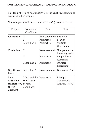This table of tests of relationships is not exhaustive, but refers to tests used in this chapter.

| N.b. Non-parametric tests can be used with 'parametric' data. |  |  |  |
|---------------------------------------------------------------|--|--|--|
|                                                               |  |  |  |

| Purpose                                                          | Number of<br>Conditions                                             | Data                                       | Test                                                                                         |
|------------------------------------------------------------------|---------------------------------------------------------------------|--------------------------------------------|----------------------------------------------------------------------------------------------|
| <b>Correlation</b>                                               | 2<br>2<br>More than 2                                               | Non-parametric<br>Parametric<br>Parametric | Spearman<br>Pearson<br>Multiple<br>Correlation                                               |
| <b>Prediction</b>                                                | $\overline{2}$<br>2<br>More than 2                                  | Non-parametric<br>Parametric<br>Parametric | Non-parametric<br>linear regression<br>Simple linear<br>regression<br>Multiple<br>Regression |
| <b>Significance</b><br>levels                                    | More than 2                                                         |                                            | Non-parametric Bonferroni Test                                                               |
| Data<br>reduction<br><i>(exploratory)</i><br>factor<br>analysis) | Multi-variable   Parametric<br>(must have<br>several<br>conditions) |                                            | Principal<br>Components<br>Analysis (PCA)                                                    |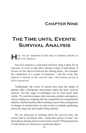### **Chapter Nine**

## **The Time until Events: Survival Analysis**

# **Here, we are interested in the area of statistics known as Survival Analysis.**

Survival Analysis is concerned with how long it takes for an outcome, or *event*, to take place among a range of individuals. It focuses on the interval between the starting point - for example, the completion of a course of treatment – and the event; this interval is known as the *survival time, observation period* or *follow-up period*.

Traditionally, the events of interest have been the deaths of patients after a therapeutic intervention, hence the term 'survival analysis', but this range of techniques can be used much more widely. We can look at many other outcomes, positive and negative, such as employees resigning after the completion of a reorganisation initiative, staff promotions after a training course or the consequences of changes in taxation laws on such events as students graduating, university drop-outs and couples being married.

We are interested in learning about the survival time. Do events tend to accelerate after a particular period of time? Are there phases during which events tend to cluster? What proportion of individuals are affected in a particular phase?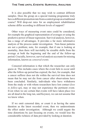It is also possible that we may wish to contrast different samples. Does the group on a special training programme truly have a different promotion rate from a control group on a traditional course? Will drop-out rates for an employment rehabilitation scheme differ according to different levels of support?

Other ways of measuring event rates could be considered, for example the graphical representation of averages or using the predictive power of linear regression. Survival analysis, however, has a range of advantages. It provides a far more informative analysis of the process under investigation. Non-linear patterns are not a problem; note, for example, that if one is looking at mortality, then there will inevitably be sizeable shifts from the average at both the beginning and the end of the follow-up period. Crucially, however, survival analysis accounts for missing information, known as *censored events*.

Censored information is that which the researcher can only guess at. This includes cases where the event fails to occur until after the follow-up period has expired; the fact, for example, that a cancer sufferer does not die within the survival time does not mean that he may not die from cancer after observations have been concluded. Similarly, individuals who have withdrawn from the study or with whom researchers have lost contact (*loss to follow-up*), may or may not experience the pertinent event. Even when we are certain that events will have taken place (we are all dead in the long run, said Keynes), we can not assume that we know when.

If we omit censored data, or count it as having the same duration as the latest recorded event, then we underestimate the effect under investigation. Although we could negate the time distortions by just focusing on events, we would lose the considerable richness of data provided by looking at duration.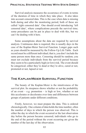Survival analysis measures the occurrence of events in terms of the duration of time in which they take place. It also takes into account censored data. This is the case when data is missing both during and after the monitoring period; both of these are called 'right censored data'. One should avoid introducing 'left censored data', where complications precede the survival time; some procedures can be put in place to deal with this, but we can't be dealing with it here.

Some assumptions about the data are required by survival analysis. Continuous data is required; this is usually days in the case of the Kaplan-Meier Survival Function. Longer gaps such as years should be measured by the Follow-Up Life Table. Each record must be a different individual; that is, you don't include the same person more than once. Censoring should be random; you must not exclude individuals from the survival period because they seem to be a particularly high (or low) risk. The event should be categorical; either they're dead or they're alive, cured or not, promoted or not, lapsed or not.

#### **The Kaplan-Meier Survival Function**

The beauty of the Kaplan-Meier is the intuitiveness of the survival plot. Its steepness shows whether or not the probability of an event – e.g. promotion – is high or low, whether or not this accelerates or decelerates over time and differences between groups of patients under different conditions.

Firstly, however, we must prepare the data. This is ordered chronologically. One column of data holds the time number, often the number of days in which the person was observed. This is either the day in which the event occurred or the last observation day before the person became censored; individuals who go to the end of the period without the event occurring are given the number of the last day of the observation.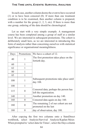In each case, another column deems the event to have occurred (1) or to have been censored (0). If more than one treatment condition is to be examined, then another column is prepared, with a number for the group  $(1, 2, 3, etc)$ . If there is more than one group, ordering of the data should be chronological.

Let us start with a very simple example. A management course has been completed among a group of staff at a similar level. We are interested in subsequent promotions. The cohort is deliberately small here, as we are interested in introducing this form of analysis rather than concerning ourselves with statistical significance or organisational meaningfulness.

| Days | Promotions | We have a cohort of 12.                                         |
|------|------------|-----------------------------------------------------------------|
| 40   | 1          | The first promotion takes place on the<br>fortieth day.         |
| 60   |            |                                                                 |
| 62   | 1          |                                                                 |
| 80   |            |                                                                 |
| 85   |            |                                                                 |
| 108  | 1          | Subsequent promotions take place until<br>day 108.              |
| 108  | 1          |                                                                 |
| 115  | $\Omega$   | Censored data; perhaps the person has<br>left the organization. |
| 140  | 1          | Another promotion on day 140.                                   |
| 160  | 0          | Censored data again on day 160.                                 |
| 180  | 0          | The remaining 2 of our cohort are not<br>promoted on the last   |
| 180  |            | day of observation, day 180.                                    |

After copying the first two columns onto a StatsDirect workbook, select Analysis/Survival Analysis/Kaplan-Meier. When prompted to 'select data for Times', select the Days column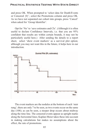and press OK. When prompted to 'select data for Death/Events or Censored {0}', select the Promotions column and press OK. As we have not separated our cohort into groups, press 'Cancel' when asked for 'Group Identifier'.

Opt for 'No' to 'save estimates and CIs'. (Although it is often useful to declare Confidence Intervals, i.e. that you are 95% confident that results are within certain bounds, it may not be particularly useful here.) After sending the details to a report sheet, select 'show event markers' as a survival plot option; although you may not want this in the future, it helps here in our introduction.



The event markers are the nodules at the bottom of each 'stair rung'; there are only 7 to be seen, as two events occur on the same day (108); as can be seen, a steeper drop occurs about midway along the time line. The censored events appear as upright marks along the horizontal lines; Kaplan-Meier takes these into account in making calculations but makes no assumptions about the effect, the rate of promotions.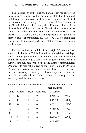The calculations of the likelihood of an event happening can be seen to have been worked out on the plot. It will be noted that the upright, or y axis, runs from 0 to 1, from zero to 100% of the individuals in the study. At 1, we have 100% of our cohort unaffected. After the first event, after 40 days, it looks like a bit over 90% of the cohort are unaffected, when we look at the figures ('S' in the table shown), we find that this is 91.667%. If we call it 92%, then we can say that the probability of promotion after 40 days is approximately 8% (100%-92%). Note that in real life, we would not make such extrapolations so early in such a small sample.

Then we look at the middle of the upright (y) axis and look across to the intersect. This is the median survival time, 108 days. This is only a 'point estimate' of duration, however; it may not be all that helpful to give this. The confidence interval median survival time may be more helpful, giving the most central figures. One way is to read off the days on the x axis relating to 75% and 25% on the y axis, or cite one of the statistics given in the readout, the Brookmeyer-Crowley, a robust non-parametric statistic but which should not be used where events tend to happen on the same day, and the Andersen statistic.

| Kaplan-Meier survival estimates |         |                  |          | (columns beyond 'S' have<br>been omitted) |                      |  |
|---------------------------------|---------|------------------|----------|-------------------------------------------|----------------------|--|
| Time                            | At risk | Dead             | Censored | S [Survival]                              |                      |  |
| 40                              | 12      | 1                | 0        | 0.916667                                  | $[92\%]$             |  |
| 60                              | 11      | 1                | $\theta$ | 0.833333                                  | [84%]                |  |
| 62                              | 10      | 1                | $\theta$ | 0.75                                      | $\left[75\% \right]$ |  |
| 80                              | 9       | 1                | 0        | 0.666667                                  | $[67\%]$             |  |
| 85                              | 8       | 1                | $\theta$ | 0.583333                                  | [58%]                |  |
| 108                             | 7       | 2                | $\theta$ | 0.416667                                  | [42%]                |  |
| 115                             | 5       | $\left( \right)$ | 1        | 0.416667                                  |                      |  |
|                                 |         |                  |          |                                           |                      |  |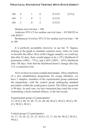| 140 |  | 0.3125 | $[31\%]$ |
|-----|--|--------|----------|
| 160 |  | 0.3125 |          |
| 180 |  | 0.3125 |          |

Median survival time  $= 108$ 

Andersen 95% CI for median survival time  $= 69.506329$  to 146.493671

Brookmeyer-Crowley 95% CI for median survival time = 80 to 180

It is perfectly acceptable, however, to use the 'S' figures, looking at the graph to maintain common sense, when we want to describe the effect. Here (with a bigger sample), we could say that after 62 days, there would appear to be a 25% likelihood of promotion (100% - 75%), and a 68% (100% - 42%) likelihood after 108 days. Note that the likelihood doesn't change after day 115, a censored event.

Now we move to a more complicated sample. After completion of a new rehabilitation programme for young offenders, we have 2 samples: members of the experimental group undertook the programme, with the control group undergoing standard procedures within the youth justice system. The follow-up period is 90 days. In each case, we have measured days until the event, committing a fresh criminal offence, or the last record.

Experimental group (15 participants): 27, 29 (C), 40, 54, 60, 72, 83, 84, 88, 90 (C), 90 (C), 90 (C), 90 (C), 90 (C), 90 (C).

Control group (15 participants): 16, 17, 18, 20, 22, 25, 25, 30 (C), 53, 71, 84, 86, 90 (C), 90 (C), 90 (C).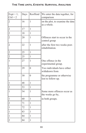| $Expt = 1;$<br>$Ctrl = 2$ | Days | Reoffend     | We enter the data together, for<br>comparison      |
|---------------------------|------|--------------|----------------------------------------------------|
| $\overline{2}$            | 16   | $\mathbf{1}$ | on the plot, to examine the data<br>as a whole.    |
| $\overline{c}$            | 17   | $\mathbf{1}$ |                                                    |
| $\overline{2}$            | 18   | $\mathbf{1}$ |                                                    |
| $\overline{2}$            | 20   | $\mathbf{1}$ | Offences start to occur in the<br>control group    |
| $\overline{2}$            | 22   | $\mathbf{1}$ | after the first two weeks post-<br>rehabilitation. |
| $\overline{2}$            | 25   | $\mathbf{1}$ |                                                    |
| $\overline{2}$            | 25   | $\mathbf{1}$ |                                                    |
| $\mathbf{1}$              | 27   | $\mathbf{1}$ | One offence in the<br>experimental group.          |
| $\mathbf{1}$              | 29   | $\theta$     | Two individuals have either<br>withdrawn from      |
| $\overline{2}$            | 30   | $\theta$     | the programme or otherwise<br>lost to follow-up.   |
| $\mathbf{1}$              | 48   | $\mathbf{1}$ |                                                    |
| $\overline{2}$            | 53   | $\mathbf{1}$ |                                                    |
| $\mathbf{1}$              | 54   | $\mathbf{1}$ | Some more offences occur as<br>the weeks go by,    |
| $\mathbf{1}$              | 60   | $\mathbf{1}$ | in both groups.                                    |
| $\overline{2}$            | 71   | $\mathbf{1}$ |                                                    |
| $\mathbf{1}$              | 72   | $\mathbf{1}$ |                                                    |
| $\mathbf{1}$              | 83   | $\mathbf{1}$ |                                                    |
| $\mathbf{1}$              | 84   | $\mathbf{1}$ |                                                    |
| $\overline{2}$            | 84   | $\mathbf{1}$ |                                                    |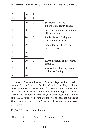| $\overline{2}$ | 86 | 1        |                                                    |
|----------------|----|----------|----------------------------------------------------|
| 1              | 88 | 1        |                                                    |
| 1              | 90 | 0        | Six members of the<br>experimental group survive   |
| 1              | 90 | $\theta$ | the observation period without<br>offending (n.b.  |
| 1              | 90 | 0        | Kaplan-Meier, during the<br>calculations, does not |
| 1              | 90 | $\theta$ | ignore the possibility of a<br>future offence).    |
| 1              | 90 | $\theta$ |                                                    |
| 1              | 90 | 0        |                                                    |
| $\overline{2}$ | 90 | $\theta$ | Three members of the control<br>group also         |
| $\overline{2}$ | 90 | $\theta$ | survive the follow-up period<br>without offending. |
| 2              | 90 | $\theta$ |                                                    |

Select Analysis/Survival Analysis/Kaplan-Meier. When prompted to 'select data for Times', select the Days column. When prompted to 'select data for Death/Events or Censored {0}', select the Relapse column. For the moment, press 'Cancel' when asked for 'Group Identifier', as it seems reasonable to look at the data overall. As before, opt for 'No' to 'save estimates and CIs'; this time, we'll ignore 'show event markers' as a survival plot option.

Kaplan-Meier survival estimates

| Time | At risk Dead | Censored |          |
|------|--------------|----------|----------|
| 16   | 30           |          | 0.966667 |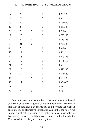| 17     | 29 | $\mathbf{1}$     | $\boldsymbol{0}$ | 0.933333 |
|--------|----|------------------|------------------|----------|
| 18     | 28 | $\mathbf{1}$     | $\boldsymbol{0}$ | 0.9      |
| 20     | 27 | $\mathbf{1}$     | $\boldsymbol{0}$ | 0.866667 |
| 22     | 26 | $\mathbf{1}$     | $\boldsymbol{0}$ | 0.833333 |
| 25     | 25 | $\mathbf{2}$     | $\overline{0}$   | 0.766667 |
| $27\,$ | 23 | $\mathbf{1}$     | $\overline{0}$   | 0.733333 |
| 29     | 22 | $\overline{0}$   | $\mathbf{1}$     | 0.733333 |
| 30     | 21 | $\overline{0}$   | $\mathbf{1}$     | 0.733333 |
| 48     | 20 | $\mathbf{1}$     | $\overline{0}$   | 0.696667 |
| 53     | 19 | $\mathbf{1}$     | $\boldsymbol{0}$ | 0.66     |
| 54     | 18 | $\mathbf{1}$     | $\overline{0}$   | 0.623333 |
| 60     | 17 | $\mathbf{1}$     | $\boldsymbol{0}$ | 0.586667 |
| 71     | 16 | $\mathbf{1}$     | $\boldsymbol{0}$ | 0.55     |
| 72     | 15 | $\mathbf{1}$     | $\boldsymbol{0}$ | 0.513333 |
| 83     | 14 | 1                | $\overline{0}$   | 0.476667 |
| 84     | 13 | $\overline{2}$   | $\overline{0}$   | 0.403333 |
| 86     | 11 | $\mathbf{1}$     | $\overline{0}$   | 0.366667 |
| 88     | 10 | $\mathbf{1}$     | $\boldsymbol{0}$ | 0.33     |
| 90     | 9  | $\boldsymbol{0}$ | 9                | 0.33     |
|        |    |                  |                  |          |

One thing to note is the number of censored events at the end of the row of figures. In general, a high number of these can mean that a lot of individuals do indeed fail to experience the event in question; but an alternative explanation can be that the follow-up period is just not long enough to make sufficient observations. We can say, however, that there is a 51% survival likelihood after 72 days (49% are likely to relapse by then).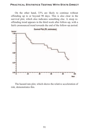On the other hand, 33% are likely to continue without offending up to or beyond 90 days. This is also clear in the survival plot, which also indicates something else. A steep reoffending trend appears in the third week after follow-up, with a fairly pronounced trend towards the end of the follow-up period.



The hazard rate plot, which shows the relative acceleration of risk, demonstrates this.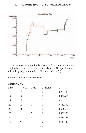

Let us now compare the two groups. This time, when using Kaplan-Meier and asked to 'select data for Group Identifier', select the group column (here, 'Expt = 1; Ctrl =  $2$ ').

Kaplan-Meier survival estimates

#### Expt1Crtl $2 = 2$

| Time | At risk | Dead           | Censored | S        |
|------|---------|----------------|----------|----------|
| 16   | 15      | 1              | 0        | 0.933333 |
| 17   | 14      | 1              | $\theta$ | 0.866667 |
| 18   | 13      | 1              | 0        | 0.8      |
| 20   | 12      | 1              | $\theta$ | 0.733333 |
| 22   | 11      | 1              | $\theta$ | 0.666667 |
| 25   | 10      | $\overline{2}$ | 0        | 0.533333 |
| 30   | 8       | 0              | 1        | 0.533333 |
| 53   | 7       |                | 0        | 0.457143 |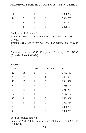| 71 |   |   | 0.380952 |
|----|---|---|----------|
| 84 | ↖ |   | 0.304762 |
| 86 |   |   | 0.228571 |
| 90 | 3 | ζ | 0.228571 |

Median survival time  $= 53$ 

Andersen 95% CI for median survival time = 8.959823 to 97.040177

Brookmeyer-Crowley 95% CI for median survival time = 22 to 84

Mean survival time (95% CI) [limit: 90 on 86] = 52.504762 (35.664489 to 69.345034)

| $Expt1Crt12 = 1$ |         |      |                |          |
|------------------|---------|------|----------------|----------|
| Time             | At risk | Dead | Censored       | S        |
| 27               | 15      | 1    | $\theta$       | 0.933333 |
| 29               | 14      | 0    | 1              | 0.933333 |
| 48               | 13      | 1    | 0              | 0.861538 |
| 54               | 12      | 1    | 0              | 0.789744 |
| 60               | 11      | 1    | $\theta$       | 0.717949 |
| 72               | 10      | 1    | $\overline{0}$ | 0.646154 |
| 83               | 9       | 1    | $\overline{0}$ | 0.574359 |
| 84               | 8       | 1    | $\theta$       | 0.502564 |
| 88               | 7       | 1    | $\theta$       | 0.430769 |
| 90               | 6       | 0    | 6              | 0.430769 |

Median survival time  $= 88$ 

Andersen 95% CI for median survival time = 78.962093 to 97.037907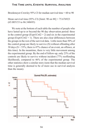Brookmeyer-Crowley 95% CI for median survival time  $= 60$  to 90

Mean survival time (95% CI) [limit: 90 on 88] = 75.676923 (65.005153 to 86.348693)

We note at the bottom of each table the number of people who have lasted up to or beyond the 90 day observation period: three in the control group (Expt1Crtl2 = 2) and six in the experimental group (Expt1Crtl $2 = 1$ ). There are also clear differences between the groups in the rest of the survival data. Little more than 50% of the control group are likely to survive (S) without offending after 30 days ( $S = 53\%$ ; there is 47% chance of an event, an offence, at this time). In the meantime, there is very little movement among the experimental group. By the end of follow-up, only 23% of the controls are likely to survive without incident (77% reoffending likelihood), compared to 46% of the experimental group. The other statistics show a similar story (note that the median survival time is generally deemed to be of more use in survival analysis than the mean).

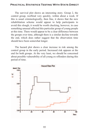The survival plot shows an interesting story. Group 2, the control group, reoffend very quickly, within about a week. If this is usual criminologically, then fine, it shows that the new rehabilitation scheme would appear to help participants to avoid this slough; it would be worth checking, however, in case something unusual affected this particular group of young people at this time. There would appear to be a clear difference between the groups over time, although there is a similar decline towards the end, which does rather suggest that the observation time should have been somewhat longer.

The hazard plot shows a clear increase in risk among the control group in the early period. Increased risk appears at the end for both groups. At the very least, we should be concerned about possible vulnerability of all young ex-offenders during this period of time.

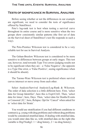#### **Tests of significance in Survival Analysis**

Before seeing whether or not the differences in our example are significant, we need to consider the tests of significance offered by StatsDirect.

Peto's log-rank test is best when testing a survival curve throughout its entire course and is more sensitive when the two groups show consistently similar patterns (the first set of data on the Survival sheet of StatsDirect's test file responds in such a way).

The Peto-Prentice Wilcoxon test is considered to be a very reliable test for use in Survival Analysis.

The Gehan-Breslow Wilcoxon test is considered to be more sensitive to differences between groups at early stages. This test can, however, tend towards Type Two errors (judging results not to be significant when they are  $-a$  'False Negative'; the opposite is a Type One error, a 'False Positive', seeing significance when it should be absent).

The Tarone-Ware Wilcoxon test is preferred where survival curves intersect or move away from each other.

Select Analysis/Survival Analysis/Log-Rank & Wilcoxon. The order of data selection is a little different here. First, 'select data for Group Identifier'; here this is Expt1Ctrl2. Then, 'select data for times'; here, Days. Then, 'select data for Deaths/Events or Censored {0}'; here, Relapse. Opt for 'Cancel' when asked for to 'select data for Strata'.

You would use stratification if you had different conditions to contrast (e.g. young with drug problems and without drug problems would be considered stratified data). If dealing with stratified data, you would enter data like so, with stratified data on the right (the variable is Drg1Nodrg2:  $1 =$  drug history,  $2 =$  no drug history).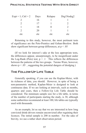| $Expt = 1$ ; $Ctrl = 2$ | Days | Relapse | Drg1Nodrg2 |
|-------------------------|------|---------|------------|
|                         | 16   |         |            |
|                         | 17   |         |            |
|                         | 18   |         |            |
|                         | 20   |         |            |
| etc                     | etc  | etc     | etc        |

Returning to this study, however, the most pertinent tests of significance are the Peto-Prentice and Gehan-Breslow. Both show significant between-group differences, at  $p < .05$ 

(If we look for interest's sake at the less appropriate tests, the differences appear, unsurprisingly, to be insignificant under the Log-Rank (Peto) test;  $p < 0.1$  This reflects the differences between the patterns of the two groups. Tarone-Ware, however, shows  $p < .05$ , suggesting the potential dangers of dredging.)

#### **The Follow-Up Life Table**

Generally speaking, if you can use the Kaplan-Meier, with its richness of data, you should. However, in spite of being a non-parametric method, Kaplan-Meier is designed to look at continuous data. If we are looking at intervals, such as months, quarters and years, then a Follow-Up Life Table should be considered. The minimum sample size for a life table, in terms of the number of participants starting the study, is 30, although some authorities recommend at least 100; life tables are typically used with thousands.

As an example, let us say that we are interested in how long convicted drink-drivers remain unconvicted after regaining their licences. The initial sample is 200 in number. For the sake of brevity, we use a rather short observation period.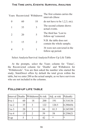|                             | Years Reconvicted Withdrawn |    | The first column carries the<br>intervals (these     |
|-----------------------------|-----------------------------|----|------------------------------------------------------|
|                             | 60                          | 18 | do not have to be $1,2,3$ , etc).                    |
|                             | 35                          | 3  | The second column shows<br>actual events.            |
| $\mathcal{D}_{\mathcal{L}}$ | 20                          | 5  | The third has 'Lost to<br>follow-up'/censored.       |
|                             | 15                          | 2  | N.B. the table does not<br>contain the whole sample; |
|                             | 5                           |    | 36 were not convicted in the<br>follow-up period.    |

Select Analysis/Survival Analysis/Follow-Up Life Table

At the prompts, select the Years column for 'Times', the Reconvicted column for 'Deaths' and Withdrawn for 'Withdrawals'. You are then asked the number who started the study; StatsDirect offers by default the total given within the table, but we enter 200 as the actual sample, as we have survivors who are not included in the columns.

|                 |    | Interval Deaths Withdrawn At risk |     | Adj. at risk | P(death) |
|-----------------|----|-----------------------------------|-----|--------------|----------|
| $0$ to $1$      | 60 | 18                                | 200 | 191          | 0.314136 |
| $1$ to $2$      | 35 |                                   | 122 | 120.5        | 0.290456 |
| $\sqrt{2}$ to 3 | 20 |                                   | 84  | 81.5         | 0.245399 |
| $3$ to 4        | 15 |                                   | 59  | 58           | 0.258621 |
| 4 up            |    |                                   | 42  | $\ast$       | $\ast$   |

#### **Follow-up life table**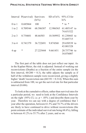|            | Interval P(survival) Survivors | $(lx\%)$  | SD of $\rm k\%$ | $95\%$ CI for<br>$lx\%$             |
|------------|--------------------------------|-----------|-----------------|-------------------------------------|
| $0$ to $1$ | 0.685864                       | 100       | *               | $*$ to $*$                          |
| $1$ to $2$ | 0.709544                       | 68.586387 |                 | 12.986565 61.485147 to<br>74.651522 |
| $2$ to $3$ | 0.754601                       | 48.66503  | 10.569952       | 41.230443 to<br>55.685715           |
| $3$ to 4   | 0.741379                       | 36.722691 | 9.874568        | 29.650539 to<br>43.801528           |
| 4 up       | *                              | 27.225444 | 9.661451        | 20.757746 to<br>34.076007           |

The first part of the table does not just reflect our input. As in the Kaplan-Meier, the risk is adjusted. Instead of working out reconvictions (Deaths) as a fraction of the entire sample (in the first interval,  $60/200 = 0.3$ , the table adjusts the sample as if half of the withdrawn sample were reconvicted, giving a slightly higher 'death'/reconviction rate  $(60/191 = 0.314)$ . When this sum is subtracted from 100, we get the survival rate for that particular interval (0.686).

To look at the cumulative effects, rather than survival rates for a particular period, we need to look at the Confidence Intervals on the right (95% CI, i.e.  $p < .05\%$ ) and describe them year by year. Therefore we can say with a degree of confidence that 1 year after the operation, between 61.5% and 74.7% of the drivers are likely to have continued to drive without reconvictions (the point estimate of the individual survival rate being 68.6%), falling to between 41.2% to 55.7% after 2 years, and so on.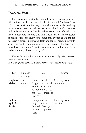#### **Talking Point**

The statistical methods referred to in this chapter are often referred to by the overall title of Survival Analysis. This reflects its most familiar usage in health statistics, the tracking of the survival rate of patients over time; this is made manifest in StatsDirect's use of 'deaths' when events are referred to in analysis readouts. Having said that, I feel that it is more useful to consider it as the study of the time until events, as we are not necessarily discussing life and death and can be measuring events which are positive and not necessarily dramatic. Other terms are indeed used, including 'time to event analysis' and, in sociology and economics, 'duration analysis'.

This table of survival analysis techniques only refers to tests used in this chapter.

| Test                                      | Number<br>of groups | Data                                                                                                                         | Purpose                      |
|-------------------------------------------|---------------------|------------------------------------------------------------------------------------------------------------------------------|------------------------------|
| Kaplan-<br><b>Meier</b>                   | 1 or<br>more        | Non-parametric.<br>Large and small over time<br>sample. Data must<br>be continuous (i.e.<br>not less frequent<br>than days). | Tracking events              |
| <b>Follow-</b><br>up Life<br><b>Table</b> | 1                   | Non-parametric.<br>Large samples.<br>Interval data (e.g.<br>months, quarters,<br>years).                                     | Tracking events<br>over time |

**N.b.** *Non-parametric tests can be used with 'parametric' data*.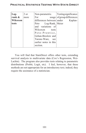| $Log-$            | 2 or | Non-parametric.           | Testingsignificance          |
|-------------------|------|---------------------------|------------------------------|
| $\vert$ rank $\&$ | more | For                       | usage   of group differences |
| Wilcoxon          |      | differences between under | Kaplan-                      |
| <b>tests</b>      |      | Peto Log-Rank, Meier      |                              |
|                   |      | and variations of         |                              |
|                   |      | Wilcoxon tests            |                              |
|                   |      | Peto-Prentice,            |                              |
|                   |      | Gehan-Breslow and         |                              |
|                   |      | Tarone-Ware,<br>see       |                              |
|                   |      | earlier notes in this     |                              |
|                   |      | section.                  |                              |

You will find that StatsDirect offers other tests, extending survival analysis to multivariate data (Cox's Regression, Wei-Lachin). The program also provides tests relating to parametric distributions (Probit, Logit, etc). I feel, however, that these methods are not appropriate for an introductory text; indeed, they require the assistance of a statistician.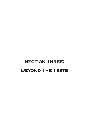# **Section Three: Beyond The Tests**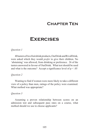## **Chapter Ten**

# **Exercises**

#### *Question 1*

40 tasters of two fruit drink products, OurDrink and RivalDrink, were asked which they would *prefer* to give their children. No 'abstaining' was allowed, from drinking or preference. 26 of the tasters answered in favour of OurDrink. What test should be used and what is the outcome? Accept a significance level of  $p < .05$ 

#### *Question 2*

Wanting to find if women were more likely to take a different view of a policy than men, ratings of the policy were examined. What method was appropriate?

#### *Question 3*

Assuming a proven relationship between scores on an admission test and subsequent pass rates on a course, what method should we use to choose applicants?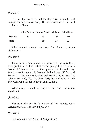#### **Exercises**

#### *Question 4*

You are looking at the relationship between gender and management level in an industry. The numbers at each hierarchical level are as follows.

|        | ChiefExecs SeniorTeam Middle FirstLine |    |    |
|--------|----------------------------------------|----|----|
| Female | 11                                     | 20 | 30 |
| Male   | 18                                     | 16 | 32 |

What method should we use? Are there significant differences?

#### *Question 5*

Three different tax policies are currently being considered. Each politician has been asked for the policy they are most in favour of. There are three political parties. Of the Red Party, 100 favoured Policy A, 230 favoured Policy B, and 150 favoured Policy C. The Blue Party favoured Policies A, B and C as follows: 600, 400, 100. The Green Party favoured Policy A with 180 votes, with 120 for Policy B, and 100 for C.

What design should be adopted? Are the test results significant?

#### *Question 6*

The correlation matrix for a mass of data includes many correlations at .9. What should you do?

#### *Question 7*

Is a correlation coefficient of .2 significant?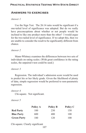#### **Practical Statistics Testing With Stats Direct**

## **Answers to exercises**

#### *Answer 1*

Use the Sign Test. The 26:14 ratio would be significant if a one-tailed level of significance was adopted. But do we really have preconceptions about whether or not people would be inclined to like one product more than the other? I would argue for the two-tailed level of significance. If we adopt this, then we are unable to consider the result to be significantly different from chance.

#### *Answer 2*

Mann-Whitney examines the differences between two sets of individuals on rating scales. (With great confidence in the rating scales, the unpaired t-test could be used.)

#### *Answer 3*

Regression. The individual's admission score would be used to predict his or her likely grade. Given the likelihood of plenty of data, simple regression would be preferred to non-parametric regression.

*Answer 4*

Chi-square. Not significant.

*Answer 5*

|                    | Policy A | <b>Policy B</b> | <b>Policy C</b> |
|--------------------|----------|-----------------|-----------------|
| <b>Red Party</b>   | 100      | 230             | 150             |
| <b>Blue Party</b>  | 600      | 400             | 100             |
| <b>Green Party</b> | 180      | 120             | 100             |

Chi-square. Clearly significant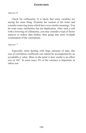#### **Exercises**

#### *Answer 6*

Check for collinearity. It is likely that some variables are saying the same thing. Examine the content of the items and consider removing items which have over-similar meanings. You do want some similarities but not duplication. After such a cull with a lowering of collinearity, you may consider a type of factor analysis to reduce data further, then going into more in-depth examination of the correlations.

## *Answer 7*

Especially when dealing with large amounts of data, this sort of correlation coefficient can indeed be accompanied by an acceptable p value. More to the point is how useful is an effect size of .04? In some cases, 4% of the variance is important, in others not.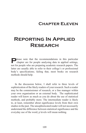## **Chapter Eleven**

# **Reporting In Applied Research**

**P** lease note that the recommendations in this particular chapter are for people analysing data in applied settings, not for people who are preparing academic research papers. The latter are usually able to refer to their college's or professional body's specifications; failing that, most books on research methods should help.

In the discussion below, I shall refer to three levels of sophistication of the likely readers of your research. Such a reader may be the commissioner of research, or a line manager within your own organisation or an external body. The sophisticated reader will know as much as you do about the use of statistical methods, and probably more. The intermediate reader is likely to, at least, remember about significance levels from their own studies in the past. The unsophisticated reader will not necessarily understand the difference between statistical significance and the everyday use of the word; p levels will mean nothing.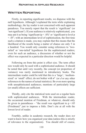#### **Reporting in Applied Research**

#### **Written Reporting**

Firstly, in reporting significant results, we dispense with the null hypothesis. Although I explained the term while explaining methodology, the lay reader is not concerned with such apparent paradoxes. You merely report that the result is 'significant' (or 'not significant'). If your audience is relatively sophisticated, you may put it as being 'significant ( $p < .05$ )' or 'significant to level p < .05'; with an intermediate level of sophistication, the first time such a citation is made, you may explain that this means that the likelihood of the results being a matter of chance are only 5 in a hundred. You would only consider using references to 'twotailed' or 'one-tailed' hypotheses for the sophisticated readers; even for such an audience, a discussion of whether or not the effect was expected in a particular direction would be helpful.

Following on from this point is effect size. The term effect size would only be used with a sophisticated audience. It should be noted that until very recently, the concept (or proportion of variance) was rarely mentioned in introductory books. The intermediate reader could be told that this is a 'large', 'mediumsized' or 'small' effect; do not bother with **r2** (or *d* or any other references to the names of actual statistics). Be even more sparing with unsophisticated audiences; mentions of particularly large (or small) effects are sufficient.

Thirdly, only cite the statistical tests used on a regular basis with sophisticated audiences. With the intermediate reader, the occasional mention of Friedman, or whatever, should only be given in parentheses – "the result was significant to  $p < 0.05$ (Friedman)" just to impress a little. Don't cite at all with the lowest level of reader.

Fourthly, unlike in academic research, the reader does *not* want to know how you organised your data (unless this is strictly of relevance to the organisation). You should still of course,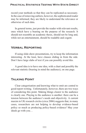#### **Practical Statistics Testing With Stats Direct**

record your methods so that they can be replicated as necessary. In the case of removing outliers, however, the sophisticated reader may be informed; they are likely to understand the relevance or otherwise of such data.

In general terms, just provide the reader with relevant results, ones which have a bearing on the purpose of the research. It should not resemble an academic thesis, should not be long and, while not an entertainment, should be readable and cogent.

## **Verbal Reporting**

If using slide-show presentations, try to keep the information interesting. At the least, have clauses sliding in from the side. Don't have large slabs of text if you can possibly avoid this.

A good idea is to have one idea, with a chart and possibly the relevant statistic (bearing in mind the audience), on one page.

## **Talking Point**

Clear categorisation and knowing what to omit are central to good report-writing. Unfortunately, however, there are two ways of considering this point. Making things clearer to the audience is clearly one. Playing to the audience is another: there can be a tension between the audience's needs and objectivity. A current maxim in UK research circles (circa 2006) suggests that, in many cases, researchers are not helping to develop evidence-based policy so much as producing policy-based evidence! May your ideals go with you…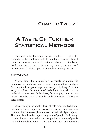## **Chapter Twelve**

# **A Taste Of Further Statistical Methods**

This book is for beginners, but nevertheless a lot of useful research can be conducted with the methods discussed here. I offer here, however, a taste of what more advanced methods can do. In order not to create confusion, only a few types of test will be considered, building upon what you have already learned.

#### *Cluster Analysis*

Viewed from the perspective of a correlation matrix, the columns - the variables - were examined by way of factor analysis (we used the Principal Components Analysis technique). Factor analysis reduces the number of variables to a smaller set of underlying dimensions. In business, for example, one can work out if particular types of attitudes underlie a range of different sales figures.

Cluster analysis is another form of data reduction technique, but here the focus is upon the rows of the matrix, which represent records: observations of phenomena or the individual participants. Here, data is reduced to *objects* or groups of people. In the range of sales figures, we may discover that particular groups of people – retired or students, maybe – tend towards different purchasing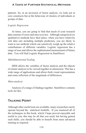## **A Taste of Further Statistical Methods**

patterns. So, in an inversion of factor analysis, we look not at core constructs but at the behaviour of clusters of individuals or groups of data.

### *Logistic Regression*

At times, you are going to find that much of your research data consists of zeros and ones (yes/no). Although categorical (or qualitative) methods have their place, when you have relatively rich data sets including multiple predictors, you are likely to want to use methods which can sensitively weigh up the relative contributions of different variables. Logistic regression has a range of uses and allows the sophisticated measurement of binary data. You will find Logistic Regression in StatsDirect.

#### *Multidimensional Scaling*

MDS allows the variables of factor analysis and the objects of cluster analysis to be viewed together in interaction. This has a wide range of applications and allows both visual representation and some reflection of the magnitude of differences.

#### *Meta-analysis*

Analysis of a range of findings together. StatsDirect contains tools for this.

## **Talking Point**

Although other useful tests are available, many researchers rarely operate beyond the statistical foothills. If you mastered all of the techniques in this book, which I hope proved enjoyable and useful to you, this may be all that you need; but having gained such skills, you should be able to benefit from more advanced training as required.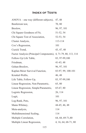## **Index of Tests**

| $ANOVA$ – one way (different subjects),                        | 47, 48               |
|----------------------------------------------------------------|----------------------|
| Bonferroni test,                                               | 70,80                |
| Breslow,                                                       | 96, 97, 101          |
| Chi Square Goodness of Fit,                                    | 51-52, 54            |
| Chi Square Test of Association,                                | 52-53, 54            |
| Cluster Analysis,                                              | 113-114              |
| Cox's Regression,                                              | 101                  |
| Cuzick Trend,                                                  | 43, 47, 48           |
| Factor Analysis (Principal Components), 4, 71-79, 80, 113, 114 |                      |
| Follow-Up Life Table,                                          | 83, 97-99, 100       |
| Friedman,                                                      | 41-43, 48            |
| Gehan-Breslow,                                                 | 96, 97, 101          |
| Kaplan-Meier Survival Function,                                | 83-97, 99, 100-101   |
| Kruskal-Wallis,                                                | 46, 48               |
| Life Table, Follow-Up,                                         | 83, 97-99, 100       |
| Linear Regression, Non-Parametric,                             | 65,80                |
| Linear Regression, Simple/Parametric,                          | 65-67, 80            |
| Logistic Regression,                                           | 26, 114              |
| Logit,                                                         | 101                  |
| Log-Rank, Peto,                                                | 96, 97, 101          |
| Mann-Whitney,                                                  | 44-45, 46, 48        |
| Meta-analysis,                                                 | 114                  |
| Multidimensional Scaling,                                      | 114                  |
| Multiple Correlation,                                          | 64, 68, 69-71, 80    |
| Multiple Linear Regression,                                    | 4, 16, 64, 68-71, 80 |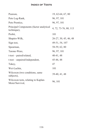## **Index of Tests**

| Pearson,                                               | 19, 62-64, 67, 80     |  |
|--------------------------------------------------------|-----------------------|--|
| Peto Log-Rank,                                         | 96, 97, 101           |  |
| Peto Prentice,                                         | 96, 97, 101           |  |
| Principal Components (factor analytical<br>technique), | 4, 72, 73-76, 80, 113 |  |
| Probit,                                                | 101                   |  |
| Shapiro-Wilk,                                          | 26-27, 30, 45, 46, 48 |  |
| Sign test,                                             | 49-51, 54, 107        |  |
| Spearman,                                              | 58-59, 62, 80         |  |
| Tarone-Ware,                                           | 96, 97, 101           |  |
| $t-test - paired/related,$                             | $40-41, 48$           |  |
| $t-test$ – unpaired/independent,                       | 45-46, 48             |  |
| Tukey,                                                 | 47                    |  |
| Wei-Lachin,                                            | 101                   |  |
| Wilcoxon (two conditions, same<br>subjects),           | 39-40, 41, 48         |  |
| Wilcoxon tests, relating to Kaplan-<br>Meier/Survival, | 96, 101               |  |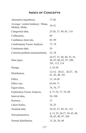## **Index of Concepts**

| Alternative hypothesis,                             | $17 - 20$                                                               |  |
|-----------------------------------------------------|-------------------------------------------------------------------------|--|
| Average / central tendency / Mean,<br>Median, Mode, | $10 - 12$                                                               |  |
| Categorical data,                                   | 25-26, 37, 49, 83, 114                                                  |  |
| Collinearity,                                       | 69                                                                      |  |
| Confidence Intervals,                               | 85, 99                                                                  |  |
| Confirmatory Factor Analysis,                       | 77, 79                                                                  |  |
| Continuous data,                                    | 24                                                                      |  |
| Criterion problem (measurement),                    | 23, 38                                                                  |  |
| Data types,                                         | 24-27, 37, 48, 49, 52, 55,<br>58, 65, 80, 83, 97, 100,<br>101, 113, 114 |  |
| Design,                                             | 5, 35-38                                                                |  |
| Distribution,                                       | 12-14, 20-21, 26-27, 30,<br>41, 45, 48, 101                             |  |
| Effect,                                             | 13, 16-20                                                               |  |
| Effect size,                                        | 63-64, 71                                                               |  |
| Eigenvalues,                                        | 74, 76, 77                                                              |  |
| Exploratory Factor Analysis,                        | 4, 71-76, 77, 78, 80                                                    |  |
| Interval data,                                      | 24, 100                                                                 |  |
| Kurtosis,                                           | 13                                                                      |  |
| Likert Scales,                                      | 24, 25                                                                  |  |
| Nominal data,                                       | 24-25, 37, 49, 52, 114                                                  |  |
| Non-parametrics,                                    | 4, 13, 25, 26-27, 39, 45, 48,<br>58, 65, 80, 97, 100                    |  |
| Normal distribution,                                | 13, 26, 30, 48                                                          |  |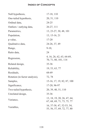## **Index of Concepts**

| Null hypothesis,               | $17-18, 110$                                              |
|--------------------------------|-----------------------------------------------------------|
| One-tailed hypothesis,         | 20, 51, 110                                               |
| Ordinal data,                  | 24-25                                                     |
| Outliers / outlying data,      | 26-27, 111                                                |
| Parametrics,                   | 13, 23-27, 30, 48, 101                                    |
| Population,                    | 13, 15-16, 21                                             |
| p value,                       | $17 - 20$                                                 |
| Qualitative data,              | 24-26, 37, 49                                             |
| Range,                         | $9-10$ ,                                                  |
| Ratio data,                    | 24                                                        |
| Regression,                    | 4, 16, 26, 62, 63, 64-69,<br>70, 71, 80, 101, 114         |
| Related design,                | $35 - 36$                                                 |
| Reliability,                   | 19, 53, 63, 77                                            |
| Residuals,                     | 68-69                                                     |
| Rotation (in factor analysis), | 72, 78                                                    |
| Samples,                       | 15-16, 17, 19, 82, 87, 100                                |
| Significance,                  | 17-20, 96-97                                              |
| Two-tailed hypothesis,         | 20, 39, 40, 51, 110                                       |
| Unrelated design,              | 35-36                                                     |
| Variance,                      | 13, 18, 19, 20, 26, 47, 64,<br>67, 68, 69, 71, 73, 75, 77 |
| Variables,                     | 16, 37-38, 47, 52-53, 54,<br>55, 56, 57, 69, 72, 77, 80   |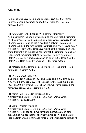## **Addenda**

Some changes have been made to StatsDirect 3, either minor improvements in accuracy or additional features. These are discussed here.

(1) References to the Shapiro-Wilk test for Normality At times within the book, when looking for a normal distribution for the purposes of using a parametric test, you are referred to the Shapiro-Wilk test, using the procedure Analysis / Parametric / Shapiro-Wilk. In the new version, you use *Analysis / Parametric / Normality*. If any of the tests have significant p values, then you should take this as indicating non-normal distribution; no one test is foolproof for demonstrating normality. The new version of StatsDirect usefully includes a chart to go with the tests. See the StatsDirect Help guide by pressing F1 for more details.

(2) 'Decide on the test to be used' (page  $30$ ) – see point (1) on normality / Shapiro-Wilk.

(3) Wilcoxon test (page 40)

The book cites p values of .021 one-tailed and 0.042 two-tailed. You should now see 0.0225 (if rounded to three decimal points, .023) and 0.0449 (round to .045). As you will have guessed, the respective critical values remain  $p < .05$ .

(4) Paired (aka Related) t-test (page 41). Normality and Shapiro-Wilk; use *Analysis / Parametric / Normality*. See addendum (1).

(5) Mann-Whitney (page 45).

Normality and Shapiro-Wilk; use *Analysis / Parametric / Normality*. As in the book, we have non-normal data. In both subsamples, we see that the skewness, Shapiro-Wilk and Shapiro-Francia tests are all significant. Note also the wandering around of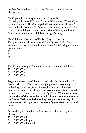the data from the line on the charts. See item (1) for a general discussion.

(6) Unpaired (aka Independent) t-test (page 46).

Normality / Shapiro-Wilk: use *Analysis / Parametric / Normality* – see addendum (1). The sharp-eyed will notice some evidence of skew in the first subsample. Generally, t-tests are considered quite robust, but I think you should also try Mann-Whitney on the data (which also shows a very high level of significance).

(7) Chi Square Goodness of Fit Test (pages 51 to 52).

This procedure works somewhat differently now. In the first example, the book merely tells you to enter the following data onto the worksheet:

77 66 47

This has now changed. You now enter two columns, as follows:

77 0.3333333 66 0.3333333 47 0.3333333

To get the second set of figures, you divide 1 by the number of data sets (here 3). These, as you might guess, are assuming equal probability for all categories. Although a nuisance, this allows more advanced users to change these assumptions, when expected outcomes are assumed not to be equally likely. **NB do not stint on the number of figures in the second column if you intend to use the Monte Carlo simulation to improve p value accuracy. I would suggest that you keep the seven figures after the decimal point.**

Optionally, you could have a third column, with category names, like so:

77 0.3333333 Left 66 0.3333333 Right 47 0.3333333 Forward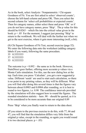As in the book, select Analysis / Nonparametric / Chi-square Goodness of Fit. You are first asked to select 'observed counts'; choose the left-hand column and press OK. Then you select the second column for 'select cell probabilities or expected counts'. Then for category names, either select these and press 'OK' or if you do not have category names, press 'Skip'. The p value for this should be 0.0263 – which fits into the critical value given in the book:  $p < .05$  For the moment, I suggest just pressing 'Skip' to return to the workbook. We will deal with the further test when we get to the next exercise, where it gets more interesting (well, a bit).

(8) Chi Square Goodness of Fit Test, second exercise (page 52). We enter the following data onto the worksheet (adding category labels if you want), following the same procedure.

- 35 0.3333333
- 37 0.3333333
- 33 0.3333333

The outcome is  $p = 0.892$  – the same as in the book. However, StatsDirect goes further, offering more accurate p values via a Monte Carlo simulation. For this, use the new dialog box at the top. Each time you press 'Calculate', you get a new suggested p value. Different 'seeds' are used to start each calculation, so there is no point in my printing values, as they will be different. What you will find after doing this several times is that the figures vary between about 0.0903 and 0.0904 after rounding, so it is best to round to two figures, i.e. 0.90 The confidence intervals provided by the simulation will also suggest how to round the figures. The rounded simulation statistic – here  $.90$  – should be quoted, as it is to be considered to be more accurate than our original 0.89

Press 'Skip' when you finally want to return to the data sheet.

(If you return to the previous exercise to do this, with 77, 66 and 47, you will find that the simulation differs very little from the original p value, except in the rounding, so again you would round it to two decimal places:  $p = .03$ )